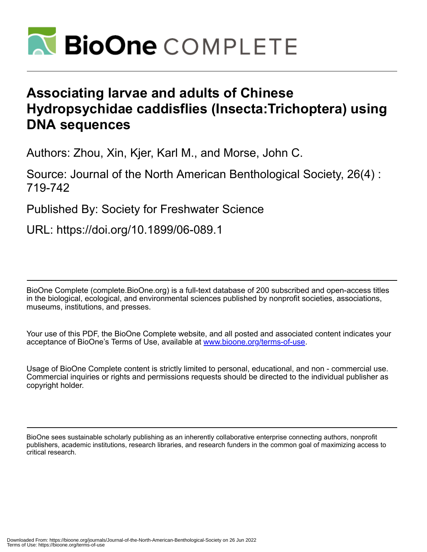

# **Associating larvae and adults of Chinese Hydropsychidae caddisflies (Insecta:Trichoptera) using DNA sequences**

Authors: Zhou, Xin, Kjer, Karl M., and Morse, John C.

Source: Journal of the North American Benthological Society, 26(4) : 719-742

Published By: Society for Freshwater Science

URL: https://doi.org/10.1899/06-089.1

BioOne Complete (complete.BioOne.org) is a full-text database of 200 subscribed and open-access titles in the biological, ecological, and environmental sciences published by nonprofit societies, associations, museums, institutions, and presses.

Your use of this PDF, the BioOne Complete website, and all posted and associated content indicates your acceptance of BioOne's Terms of Use, available at www.bioone.org/terms-of-use.

Usage of BioOne Complete content is strictly limited to personal, educational, and non - commercial use. Commercial inquiries or rights and permissions requests should be directed to the individual publisher as copyright holder.

BioOne sees sustainable scholarly publishing as an inherently collaborative enterprise connecting authors, nonprofit publishers, academic institutions, research libraries, and research funders in the common goal of maximizing access to critical research.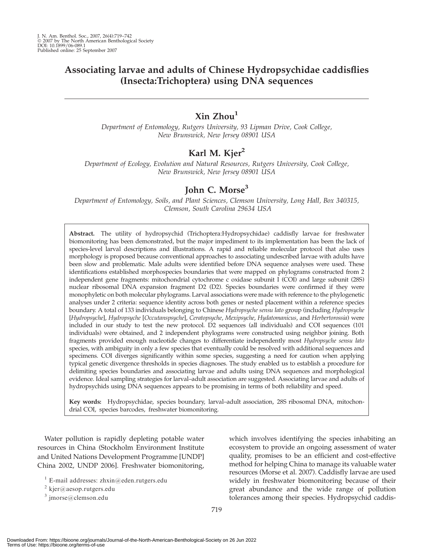# Associating larvae and adults of Chinese Hydropsychidae caddisflies (Insecta:Trichoptera) using DNA sequences

# Xin Zhou<sup>1</sup>

Department of Entomology, Rutgers University, 93 Lipman Drive, Cook College, New Brunswick, New Jersey 08901 USA

# Karl M. Kjer<sup>2</sup>

Department of Ecology, Evolution and Natural Resources, Rutgers University, Cook College, New Brunswick, New Jersey 08901 USA

# John C. Morse<sup>3</sup>

Department of Entomology, Soils, and Plant Sciences, Clemson University, Long Hall, Box 340315, Clemson, South Carolina 29634 USA

Abstract. The utility of hydropsychid (Trichoptera:Hydropsychidae) caddisfly larvae for freshwater biomonitoring has been demonstrated, but the major impediment to its implementation has been the lack of species-level larval descriptions and illustrations. A rapid and reliable molecular protocol that also uses morphology is proposed because conventional approaches to associating undescribed larvae with adults have been slow and problematic. Male adults were identified before DNA sequence analyses were used. These identifications established morphospecies boundaries that were mapped on phylograms constructed from 2 independent gene fragments: mitochondrial cytochrome c oxidase subunit I (COI) and large subunit (28S) nuclear ribosomal DNA expansion fragment D2 (D2). Species boundaries were confirmed if they were monophyletic on both molecular phylograms. Larval associations were made with reference to the phylogenetic analyses under 2 criteria: sequence identity across both genes or nested placement within a reference species boundary. A total of 133 individuals belonging to Chinese Hydropsyche sensu lato group (including Hydropsyche [Hydropsyche], Hydropsyche [Occutanspsyche], Ceratopsyche, Mexipsyche, Hydatomanicus, and Herbertorossia) were included in our study to test the new protocol. D2 sequences (all individuals) and COI sequences (101 individuals) were obtained, and 2 independent phylograms were constructed using neighbor joining. Both fragments provided enough nucleotide changes to differentiate independently most Hydropsyche sensu lato species, with ambiguity in only a few species that eventually could be resolved with additional sequences and specimens. COI diverges significantly within some species, suggesting a need for caution when applying typical genetic divergence thresholds in species diagnoses. The study enabled us to establish a procedure for delimiting species boundaries and associating larvae and adults using DNA sequences and morphological evidence. Ideal sampling strategies for larval–adult association are suggested. Associating larvae and adults of hydropsychids using DNA sequences appears to be promising in terms of both reliability and speed.

Key words: Hydropsychidae, species boundary, larval–adult association, 28S ribosomal DNA, mitochondrial COI, species barcodes, freshwater biomonitoring.

Water pollution is rapidly depleting potable water resources in China (Stockholm Environment Institute and United Nations Development Programme [UNDP] China 2002, UNDP 2006]. Freshwater biomonitoring, which involves identifying the species inhabiting an ecosystem to provide an ongoing assessment of water quality, promises to be an efficient and cost-effective method for helping China to manage its valuable water resources (Morse et al. 2007). Caddisfly larvae are used widely in freshwater biomonitoring because of their great abundance and the wide range of pollution tolerances among their species. Hydropsychid caddis-

<sup>&</sup>lt;sup>1</sup> E-mail addresses: zhxin@eden.rutgers.edu

 $2$  kjer@aesop.rutgers.edu

 $3$  jmorse@clemson.edu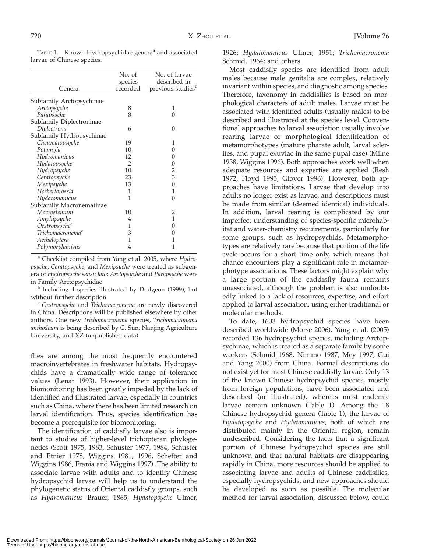| Genera                       | No. of<br>species<br>recorded | No. of larvae<br>described in<br>previous studies <sup>b</sup> |
|------------------------------|-------------------------------|----------------------------------------------------------------|
| Subfamily Arctopsychinae     |                               |                                                                |
| Arctopsyche                  | 8                             | 1                                                              |
| Parapsyche                   | 8                             | $\Omega$                                                       |
| Subfamily Diplectroninae     |                               |                                                                |
| Diplectrona                  | 6                             | 0                                                              |
| Subfamily Hydropsychinae     |                               |                                                                |
| Cheumatopsyche               | 19                            | 1                                                              |
| Potamyia                     | 10                            | 0                                                              |
| Hydromanicus                 | 12                            | 0                                                              |
| Hydatopsyche                 | $\overline{2}$                | 0                                                              |
| Hydropsyche                  | 10                            | $\overline{c}$                                                 |
| Ceratopsyche                 | 23                            | $\overline{3}$                                                 |
| Mexipsyche                   | 13                            | $\overline{0}$                                                 |
| Herbertorossia               | 1                             | 1                                                              |
| Hydatomanicus                | 1                             | $\Omega$                                                       |
| Subfamily Macronematinae     |                               |                                                                |
| Macrostemum                  | 10                            | 2                                                              |
| Amphipsyche                  | 4                             | 1                                                              |
| Oestropsyche <sup>c</sup>    | 1                             | 0                                                              |
| Trichomacronema <sup>c</sup> | 3                             | 0                                                              |
| Aethaloptera                 | 1                             | 1                                                              |
| Polymorphanisus              | 4                             | 1                                                              |

TABLE 1. Known Hydropsychidae genera<sup>a</sup> and associated larvae of Chinese species.

<sup>a</sup> Checklist compiled from Yang et al. 2005, where Hydropsyche, Ceratopsyche, and Mexipsyche were treated as subgenera of Hydropsyche sensu lato; Arctopsyche and Parapsyche were

in Family Arctopsychidae<br><sup>b</sup> Including 4 species illustrated by Dudgeon (1999), but without further description<br>
c Oestropsyche and Trichomacronema are newly discovered

in China. Descriptions will be published elsewhere by other authors. One new Trichomacronema species, Trichomacronema anthodeum is being described by C. Sun, Nanjing Agriculture University, and XZ (unpublished data)

flies are among the most frequently encountered macroinvertebrates in freshwater habitats. Hydropsychids have a dramatically wide range of tolerance values (Lenat 1993). However, their application in biomonitoring has been greatly impeded by the lack of identified and illustrated larvae, especially in countries such as China, where there has been limited research on larval identification. Thus, species identification has become a prerequisite for biomonitoring.

The identification of caddisfly larvae also is important to studies of higher-level trichopteran phylogenetics (Scott 1975, 1983, Schuster 1977, 1984, Schuster and Etnier 1978, Wiggins 1981, 1996, Schefter and Wiggins 1986, Frania and Wiggins 1997). The ability to associate larvae with adults and to identify Chinese hydropsychid larvae will help us to understand the phylogenetic status of Oriental caddisfly groups, such as Hydromanicus Brauer, 1865; Hydatopsyche Ulmer,

1926; Hydatomanicus Ulmer, 1951; Trichomacronema Schmid, 1964; and others.

Most caddisfly species are identified from adult males because male genitalia are complex, relatively invariant within species, and diagnostic among species. Therefore, taxonomy in caddisflies is based on morphological characters of adult males. Larvae must be associated with identified adults (usually males) to be described and illustrated at the species level. Conventional approaches to larval association usually involve rearing larvae or morphological identification of metamorphotypes (mature pharate adult, larval sclerites, and pupal exuviae in the same pupal case) (Milne 1938, Wiggins 1996). Both approaches work well when adequate resources and expertise are applied (Resh 1972, Floyd 1995, Glover 1996). However, both approaches have limitations. Larvae that develop into adults no longer exist as larvae, and descriptions must be made from similar (deemed identical) individuals. In addition, larval rearing is complicated by our imperfect understanding of species-specific microhabitat and water-chemistry requirements, particularly for some groups, such as hydropsychids. Metamorphotypes are relatively rare because that portion of the life cycle occurs for a short time only, which means that chance encounters play a significant role in metamorphotype associations. These factors might explain why a large portion of the caddisfly fauna remains unassociated, although the problem is also undoubtedly linked to a lack of resources, expertise, and effort applied to larval association, using either traditional or molecular methods.

To date, 1603 hydropsychid species have been described worldwide (Morse 2006). Yang et al. (2005) recorded 136 hydropsychid species, including Arctopsychinae, which is treated as a separate family by some workers (Schmid 1968, Nimmo 1987, Mey 1997, Gui and Yang 2000) from China. Formal descriptions do not exist yet for most Chinese caddisfly larvae. Only 13 of the known Chinese hydropsychid species, mostly from foreign populations, have been associated and described (or illustrated), whereas most endemic larvae remain unknown (Table 1). Among the 18 Chinese hydropsychid genera (Table 1), the larvae of Hydatopsyche and Hydatomanicus, both of which are distributed mainly in the Oriental region, remain undescribed. Considering the facts that a significant portion of Chinese hydropsychid species are still unknown and that natural habitats are disappearing rapidly in China, more resources should be applied to associating larvae and adults of Chinese caddisflies, especially hydropsychids, and new approaches should be developed as soon as possible. The molecular method for larval association, discussed below, could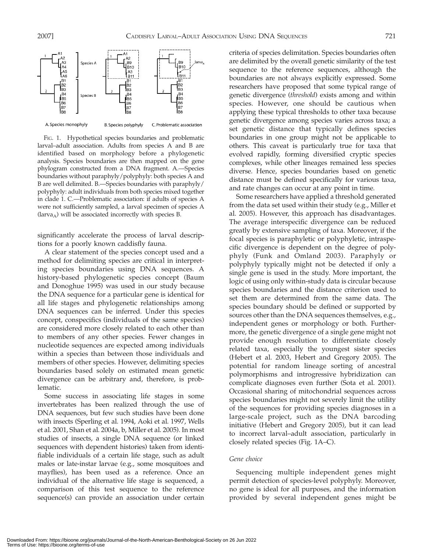

FIG. 1. Hypothetical species boundaries and problematic larval–adult association. Adults from species A and B are identified based on morphology before a phylogenetic analysis. Species boundaries are then mapped on the gene phylogram constructed from a DNA fragment. A.—Species boundaries without paraphyly/polyphyly: both species A and B are well delimited. B.—Species boundaries with paraphyly/ polyphyly: adult individuals from both species mixed together in clade 1. C.—Problematic association: if adults of species A were not sufficiently sampled, a larval specimen of species A  $(larva<sub>A</sub>)$  will be associated incorrectly with species B.

significantly accelerate the process of larval descriptions for a poorly known caddisfly fauna.

A clear statement of the species concept used and a method for delimiting species are critical in interpreting species boundaries using DNA sequences. A history-based phylogenetic species concept (Baum and Donoghue 1995) was used in our study because the DNA sequence for a particular gene is identical for all life stages and phylogenetic relationships among DNA sequences can be inferred. Under this species concept, conspecifics (individuals of the same species) are considered more closely related to each other than to members of any other species. Fewer changes in nucleotide sequences are expected among individuals within a species than between those individuals and members of other species. However, delimiting species boundaries based solely on estimated mean genetic divergence can be arbitrary and, therefore, is problematic.

Some success in associating life stages in some invertebrates has been realized through the use of DNA sequences, but few such studies have been done with insects (Sperling et al. 1994, Aoki et al. 1997, Wells et al. 2001, Shan et al. 2004a, b, Miller et al. 2005). In most studies of insects, a single DNA sequence (or linked sequences with dependent histories) taken from identifiable individuals of a certain life stage, such as adult males or late-instar larvae (e.g., some mosquitoes and mayflies), has been used as a reference. Once an individual of the alternative life stage is sequenced, a comparison of this test sequence to the reference sequence(s) can provide an association under certain

criteria of species delimitation. Species boundaries often are delimited by the overall genetic similarity of the test sequence to the reference sequences, although the boundaries are not always explicitly expressed. Some researchers have proposed that some typical range of genetic divergence (threshold) exists among and within species. However, one should be cautious when applying these typical thresholds to other taxa because genetic divergence among species varies across taxa; a set genetic distance that typically defines species boundaries in one group might not be applicable to others. This caveat is particularly true for taxa that evolved rapidly, forming diversified cryptic species complexes, while other lineages remained less species diverse. Hence, species boundaries based on genetic distance must be defined specifically for various taxa, and rate changes can occur at any point in time.

Some researchers have applied a threshold generated from the data set used within their study (e.g., Miller et al. 2005). However, this approach has disadvantages. The average interspecific divergence can be reduced greatly by extensive sampling of taxa. Moreover, if the focal species is paraphyletic or polyphyletic, intraspecific divergence is dependent on the degree of polyphyly (Funk and Omland 2003). Paraphyly or polyphyly typically might not be detected if only a single gene is used in the study. More important, the logic of using only within-study data is circular because species boundaries and the distance criterion used to set them are determined from the same data. The species boundary should be defined or supported by sources other than the DNA sequences themselves, e.g., independent genes or morphology or both. Furthermore, the genetic divergence of a single gene might not provide enough resolution to differentiate closely related taxa, especially the youngest sister species (Hebert et al. 2003, Hebert and Gregory 2005). The potential for random lineage sorting of ancestral polymorphisms and introgressive hybridization can complicate diagnoses even further (Sota et al. 2001). Occasional sharing of mitochondrial sequences across species boundaries might not severely limit the utility of the sequences for providing species diagnoses in a large-scale project, such as the DNA barcoding initiative (Hebert and Gregory 2005), but it can lead to incorrect larval–adult association, particularly in closely related species (Fig. 1A–C).

#### Gene choice

Sequencing multiple independent genes might permit detection of species-level polyphyly. Moreover, no gene is ideal for all purposes, and the information provided by several independent genes might be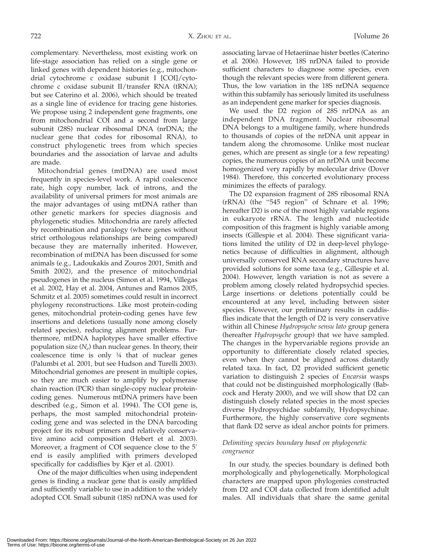complementary. Nevertheless, most existing work on life-stage association has relied on a single gene or linked genes with dependent histories (e.g., mitochondrial cytochrome c oxidase subunit I [COI]/cytochrome c oxidase subunit II/transfer RNA (tRNA); but see Caterino et al. 2006), which should be treated as a single line of evidence for tracing gene histories. We propose using 2 independent gene fragments, one from mitochondrial COI and a second from large subunit (28S) nuclear ribosomal DNA (nrDNA; the nuclear gene that codes for ribosomal RNA), to construct phylogenetic trees from which species boundaries and the association of larvae and adults are made.

Mitochondrial genes (mtDNA) are used most frequently in species-level work. A rapid coalescence rate, high copy number, lack of introns, and the availability of universal primers for most animals are the major advantages of using mtDNA rather than other genetic markers for species diagnosis and phylogenetic studies. Mitochondria are rarely affected by recombination and paralogy (where genes without strict orthologous relationships are being compared) because they are maternally inherited. However, recombination of mtDNA has been discussed for some animals (e.g., Ladoukakis and Zouros 2001, Smith and Smith 2002), and the presence of mitochondrial pseudogenes in the nucleus (Simon et al. 1994, Villegas et al. 2002, Hay et al. 2004, Antunes and Ramos 2005, Schmitz et al. 2005) sometimes could result in incorrect phylogeny reconstructions. Like most protein-coding genes, mitochondrial protein-coding genes have few insertions and deletions (usually none among closely related species), reducing alignment problems. Furthermore, mtDNA haplotypes have smaller effective population size  $(N_e)$  than nuclear genes. In theory, their coalescence time is only ¼ that of nuclear genes (Palumbi et al. 2001, but see Hudson and Turelli 2003). Mitochondrial genomes are present in multiple copies, so they are much easier to amplify by polymerase chain reaction (PCR) than single-copy nuclear proteincoding genes. Numerous mtDNA primers have been described (e.g., Simon et al. 1994). The COI gene is, perhaps, the most sampled mitochondrial proteincoding gene and was selected in the DNA barcoding project for its robust primers and relatively conservative amino acid composition (Hebert et al. 2003). Moreover, a fragment of COI sequence close to the 5' end is easily amplified with primers developed specifically for caddisflies by Kjer et al. (2001).

One of the major difficulties when using independent genes is finding a nuclear gene that is easily amplified and sufficiently variable to use in addition to the widely adopted COI. Small subunit (18S) nrDNA was used for associating larvae of Hetaeriinae hister beetles (Caterino et al. 2006). However, 18S nrDNA failed to provide sufficient characters to diagnose some species, even though the relevant species were from different genera. Thus, the low variation in the 18S nrDNA sequence within this subfamily has seriously limited its usefulness as an independent gene marker for species diagnosis.

We used the D2 region of 28S nrDNA as an independent DNA fragment. Nuclear ribosomal DNA belongs to a multigene family, where hundreds to thousands of copies of the nrDNA unit appear in tandem along the chromosome. Unlike most nuclear genes, which are present as single (or a few repeating) copies, the numerous copies of an nrDNA unit become homogenized very rapidly by molecular drive (Dover 1984). Therefore, this concerted evolutionary process minimizes the effects of paralogy.

The D2 expansion fragment of 28S ribosomal RNA (rRNA) (the ''545 region'' of Schnare et al. 1996; hereafter D2) is one of the most highly variable regions in eukaryote rRNA. The length and nucleotide composition of this fragment is highly variable among insects (Gillespie et al. 2004). These significant variations limited the utility of D2 in deep-level phylogenetics because of difficulties in alignment, although universally conserved RNA secondary structures have provided solutions for some taxa (e.g., Gillespie et al. 2004). However, length variation is not as severe a problem among closely related hydropsychid species. Large insertions or deletions potentially could be encountered at any level, including between sister species. However, our preliminary results in caddisflies indicate that the length of D2 is very conservative within all Chinese Hydropsyche sensu lato group genera (hereafter Hydropsyche group) that we have sampled. The changes in the hypervariable regions provide an opportunity to differentiate closely related species, even when they cannot be aligned across distantly related taxa. In fact, D2 provided sufficient genetic variation to distinguish 2 species of Encarsia wasps that could not be distinguished morphologically (Babcock and Heraty 2000), and we will show that D2 can distinguish closely related species in the most species diverse Hydropsychidae subfamily, Hydopsychinae. Furthermore, the highly conservative core segments that flank D2 serve as ideal anchor points for primers.

## Delimiting species boundary based on phylogenetic congruence

In our study, the species boundary is defined both morphologically and phylogenetically. Morphological characters are mapped upon phylogenies constructed from D2 and COI data collected from identified adult males. All individuals that share the same genital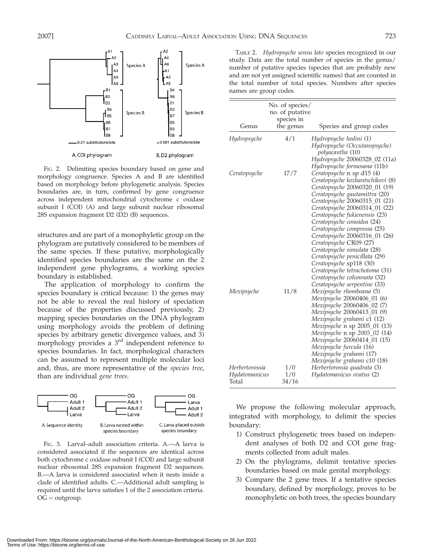

FIG. 2. Delimiting species boundary based on gene and morphology congruence. Species A and B are identified based on morphology before phylogenetic analysis. Species boundaries are, in turn, confirmed by gene congruence across independent mitochondrial cytochrome c oxidase subunit I (COI) (A) and large subunit nuclear ribosomal 28S expansion fragment D2 (D2) (B) sequences.

structures and are part of a monophyletic group on the phylogram are putatively considered to be members of the same species. If these putative, morphologically identified species boundaries are the same on the 2 independent gene phylograms, a working species boundary is established.

The application of morphology to confirm the species boundary is critical because: 1) the genes may not be able to reveal the real history of speciation because of the properties discussed previously, 2) mapping species boundaries on the DNA phylogram using morphology avoids the problem of defining species by arbitrary genetic divergence values, and 3) morphology provides a  $3<sup>rd</sup>$  independent reference to species boundaries. In fact, morphological characters can be assumed to represent multiple molecular loci and, thus, are more representative of the species tree, than are individual gene trees.



FIG. 3. Larval–adult association criteria. A.—A larva is considered associated if the sequences are identical across both cytochrome c oxidase subunit I (COI) and large subunit nuclear ribosomal 28S expansion fragment D2 sequences. B.—A larva is considered associated when it nests inside a clade of identified adults. C.—Additional adult sampling is required until the larva satisfies 1 of the 2 association criteria.  $OG = outgroup.$ 

TABLE 2. Hydropsyche sensu lato species recognized in our study. Data are the total number of species in the genus/ number of putative species (species that are probably new and are not yet assigned scientific names) that are counted in the total number of total species. Numbers after species names are group codes.

| Genus                                    | No. of species/<br>no. of putative<br>species in<br>the genus | Species and group codes                                                                                                                                                                                                                                                                                                                                                                                                                                                                                                                                                                                                                                                                                    |
|------------------------------------------|---------------------------------------------------------------|------------------------------------------------------------------------------------------------------------------------------------------------------------------------------------------------------------------------------------------------------------------------------------------------------------------------------------------------------------------------------------------------------------------------------------------------------------------------------------------------------------------------------------------------------------------------------------------------------------------------------------------------------------------------------------------------------------|
| Hydropsyche                              | 4/1                                                           | Hydropsyche hedini (1)<br>Hydropsyche (Occutanspsyche)<br>polyacantha (10)<br>Hydropsyche 20060328_02 (11a)                                                                                                                                                                                                                                                                                                                                                                                                                                                                                                                                                                                                |
| Ceratopsyche<br>Mexipsyche               | 17/7<br>11/8                                                  | Hydropsyche formosana (11b)<br>Ceratopsyche n sp d15 (4)<br>Ceratopsyche kozhantschikovi (8)<br>Ceratopsyche 20060320_01 (19)<br>Ceratopsyche gautamittra (20)<br>Ceratopsyche 20060315_01 (21)<br>Ceratopsyche 20060314_01 (22)<br>Ceratopsyche fukienensis (23)<br>Ceratopsyche conoidea (24)<br>Ceratopsyche compressa (25)<br>Ceratopsyche 20060316_01 (26)<br>Ceratopsyche CR09 (27)<br>Ceratopsyche simulata (28)<br>Ceratopsyche penicillata (29)<br>Ceratopsyche sp118 (30)<br>Ceratopsyche tetrachotoma (31)<br>Ceratopsyche columnata (32)<br>Ceratopsyche serpentine (33)<br>Mexipsyche rhomboana (5)<br>Mexipsyche 20060406_01 (6)<br>Mexipsyche 20060406_02 (7)<br>Mexipsyche 20060413_01 (9) |
| Herbertorossia<br>Hydatomanicus<br>Total | 1/0<br>1/0<br>34/16                                           | Mexipsyche grahami c1 (12)<br><i>Mexipsyche</i> n sp 2005_01 (13)<br>Mexipsyche n sp 2005_02 (14)<br>Mexipsyche 20060414_01 (15)<br>Mexipsyche furcula (16)<br>Mexipsyche grahami (17)<br>Mexipsyche grahami c10 (18)<br>Herbertorossia quadrata (3)<br>Hydatomanicus ovatus (2)                                                                                                                                                                                                                                                                                                                                                                                                                           |

We propose the following molecular approach, integrated with morphology, to delimit the species boundary:

- 1) Construct phylogenetic trees based on independent analyses of both D2 and COI gene fragments collected from adult males.
- 2) On the phylograms, delimit tentative species boundaries based on male genital morphology.
- 3) Compare the 2 gene trees. If a tentative species boundary, defined by morphology, proves to be monophyletic on both trees, the species boundary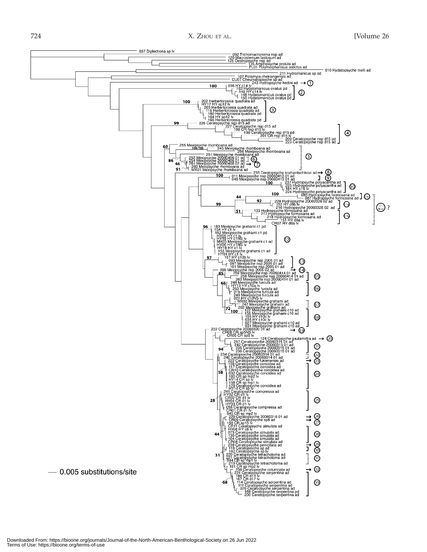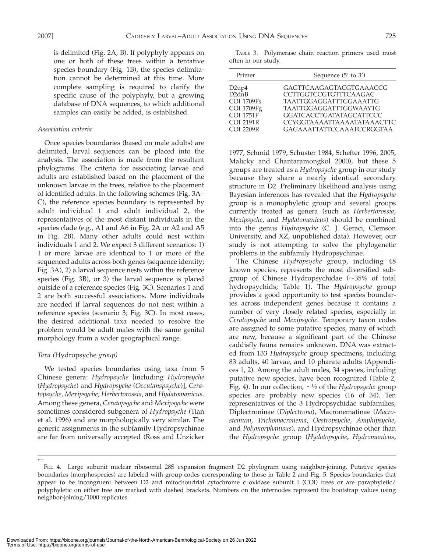is delimited (Fig. 2A, B). If polyphyly appears on one or both of these trees within a tentative species boundary (Fig. 1B), the species delimitation cannot be determined at this time. More complete sampling is required to clarify the specific cause of the polyphyly, but a growing database of DNA sequences, to which additional samples can easily be added, is established.

#### Association criteria

Once species boundaries (based on male adults) are delimited, larval sequences can be placed into the analysis. The association is made from the resultant phylograms. The criteria for associating larvae and adults are established based on the placement of the unknown larvae in the trees, relative to the placement of identified adults. In the following schemes (Fig. 3A– C), the reference species boundary is represented by adult individual 1 and adult individual 2, the representatives of the most distant individuals in the species clade (e.g., A1 and A6 in Fig. 2A or A2 and A5 in Fig. 2B). Many other adults could nest within individuals 1 and 2. We expect 3 different scenarios: 1) 1 or more larvae are identical to 1 or more of the sequenced adults across both genes (sequence identity; Fig. 3A), 2) a larval sequence nests within the reference species (Fig. 3B), or 3) the larval sequence is placed outside of a reference species (Fig. 3C). Scenarios 1 and 2 are both successful associations. More individuals are needed if larval sequences do not nest within a reference species (scenario 3; Fig. 3C). In most cases, the desired additional taxa needed to resolve the problem would be adult males with the same genital morphology from a wider geographical range.

### Taxa (Hydropsyche group)

 $\leftarrow$ 

We tested species boundaries using taxa from 5 Chinese genera: Hydropsyche [including Hydropsyche (Hydropsyche) and Hydropsyche (Occutanspsyche)], Ceratopsyche, Mexipsyche, Herbertorossia, and Hydatomanicus. Among these genera, Ceratopsyche and Mexipsyche were sometimes considered subgenera of Hydropsyche (Tian et al. 1996) and are morphologically very similar. The generic assignments in the subfamily Hydropsychinae are far from universally accepted (Ross and Unzicker

TABLE 3. Polymerase chain reaction primers used most often in our study.

| Primer             | Sequence $(5'$ to $3')$          |
|--------------------|----------------------------------|
| D <sub>2up4</sub>  | GAGTTCAAGAGTACGTGAAACCG          |
| D2d <sub>n</sub> B | CCTTGGTCCGTGTTTCAAGAC            |
| <b>COI 1709Fs</b>  | TAATTGGAGGATTTGGAAATTG           |
| <b>COI 1709Fg</b>  | <b>TAATTGGAGGATTTGGWAAYTG</b>    |
| <b>COI 1751F</b>   | <b>GGATCACCTGATATAGCATTCCC</b>   |
| <b>COI 2191R</b>   | CCYGGTAAAATTAAAATATAAACTTC       |
| <b>COI 2209R</b>   | <b>GAGAAATTATTCCAAATCCRGGTAA</b> |

1977, Schmid 1979, Schuster 1984, Schefter 1996, 2005, Malicky and Chantaramongkol 2000), but these 5 groups are treated as a Hydropsyche group in our study because they share a nearly identical secondary structure in D2. Preliminary likelihood analysis using Bayesian inferences has revealed that the Hydropsyche group is a monophyletic group and several groups currently treated as genera (such as Herbertorossia, Mexipsyche, and Hydatomanicus) should be combined into the genus Hydropsyche (C. J. Geraci, Clemson University, and XZ, unpublished data). However, our study is not attempting to solve the phylogenetic problems in the subfamily Hydropsychinae.

The Chinese Hydropsyche group, including 48 known species, represents the most diversified subgroup of Chinese Hydropsychidae  $(\sim 35\%$  of total hydropsychids; Table 1). The Hydropsyche group provides a good opportunity to test species boundaries across independent genes because it contains a number of very closely related species, especially in Ceratopsyche and Mexipsyche. Temporary taxon codes are assigned to some putative species, many of which are new, because a significant part of the Chinese caddisfly fauna remains unknown. DNA was extracted from 133 Hydropsyche group specimens, including 83 adults, 40 larvae, and 10 pharate adults (Appendices 1, 2). Among the adult males, 34 species, including putative new species, have been recognized (Table 2, Fig. 4). In our collection,  $\sim$ 1/2 of the Hydropsyche group species are probably new species (16 of 34). Ten representatives of the 3 Hydropsychidae subfamilies, Diplectroninae (Diplectrona), Macronematinae (Macrostemum, Trichomacronema, Oestropsyche, Amphipsyche, and Polymorphanisus), and Hydropsychinae other than the Hydropsyche group (Hydatopsyche, Hydromanicus,

FIG. 4. Large subunit nuclear ribosomal 28S expansion fragment D2 phylogram using neighbor-joining. Putative species boundaries (morphospecies) are labeled with group codes corresponding to those in Table 2 and Fig. 5. Species boundaries that appear to be incongruent between D2 and mitochondrial cytochrome c oxidase subunit I (COI) trees or are paraphyletic/ polyphyletic on either tree are marked with dashed brackets. Numbers on the internodes represent the bootstrap values using neighbor-joining/1000 replicates.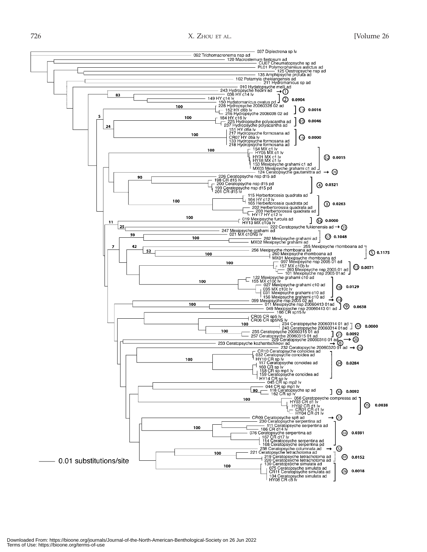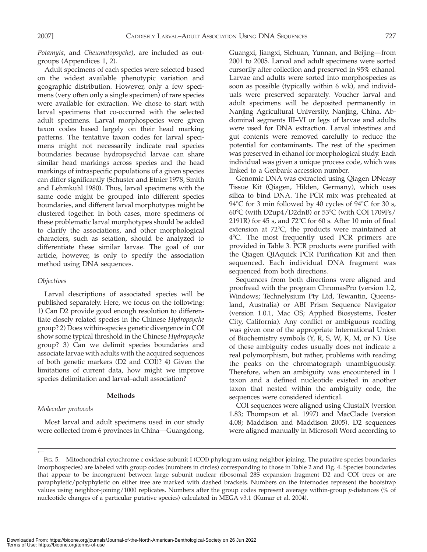Potamyia, and Cheumatopsyche), are included as outgroups (Appendices 1, 2).

Adult specimens of each species were selected based on the widest available phenotypic variation and geographic distribution. However, only a few specimens (very often only a single specimen) of rare species were available for extraction. We chose to start with larval specimens that co-occurred with the selected adult specimens. Larval morphospecies were given taxon codes based largely on their head marking patterns. The tentative taxon codes for larval specimens might not necessarily indicate real species boundaries because hydropsychid larvae can share similar head markings across species and the head markings of intraspecific populations of a given species can differ significantly (Schuster and Etnier 1978, Smith and Lehmkuhl 1980). Thus, larval specimens with the same code might be grouped into different species boundaries, and different larval morphotypes might be clustered together. In both cases, more specimens of these problematic larval morphotypes should be added to clarify the associations, and other morphological characters, such as setation, should be analyzed to differentiate these similar larvae. The goal of our article, however, is only to specify the association method using DNA sequences.

#### **Objectives**

Larval descriptions of associated species will be published separately. Here, we focus on the following: 1) Can D2 provide good enough resolution to differentiate closely related species in the Chinese Hydropsyche group? 2) Does within-species genetic divergence in COI show some typical threshold in the Chinese Hydropsyche group? 3) Can we delimit species boundaries and associate larvae with adults with the acquired sequences of both genetic markers (D2 and COI)? 4) Given the limitations of current data, how might we improve species delimitation and larval–adult association?

#### Methods

#### Molecular protocols

 $\leftarrow$ 

Most larval and adult specimens used in our study were collected from 6 provinces in China—Guangdong,

Guangxi, Jiangxi, Sichuan, Yunnan, and Beijing—from 2001 to 2005. Larval and adult specimens were sorted cursorily after collection and preserved in 95% ethanol. Larvae and adults were sorted into morphospecies as soon as possible (typically within 6 wk), and individuals were preserved separately. Voucher larval and adult specimens will be deposited permanently in Nanjing Agricultural University, Nanjing, China. Abdominal segments III–VI or legs of larvae and adults were used for DNA extraction. Larval intestines and gut contents were removed carefully to reduce the potential for contaminants. The rest of the specimen was preserved in ethanol for morphological study. Each individual was given a unique process code, which was linked to a Genbank accession number.

Genomic DNA was extracted using Qiagen DNeasy Tissue Kit (Qiagen, Hilden, Germany), which uses silica to bind DNA. The PCR mix was preheated at 94°C for 3 min followed by 40 cycles of 94°C for 30 s,  $60^{\circ}$ C (with D2up4/D2dnB) or  $53^{\circ}$ C (with COI 1709Fs/ 2191R) for 45 s, and  $72^{\circ}$ C for 60 s. After 10 min of final extension at  $72^{\circ}$ C, the products were maintained at 4°C. The most frequently used PCR primers are provided in Table 3. PCR products were purified with the Qiagen QIAquick PCR Purification Kit and then sequenced. Each individual DNA fragment was sequenced from both directions.

Sequences from both directions were aligned and proofread with the program ChromasPro (version 1.2, Windows; Technelysium Pty Ltd, Tewantin, Queensland, Australia) or ABI Prism Sequence Navigator (version 1.0.1, Mac OS; Applied Biosystems, Foster City, California). Any conflict or ambiguous reading was given one of the appropriate International Union of Biochemistry symbols (Y, R, S, W, K, M, or N). Use of these ambiguity codes usually does not indicate a real polymorphism, but rather, problems with reading the peaks on the chromatograph unambiguously. Therefore, when an ambiguity was encountered in 1 taxon and a defined nucleotide existed in another taxon that nested within the ambiguity code, the sequences were considered identical.

COI sequences were aligned using ClustalX (version 1.83; Thompson et al. 1997) and MacClade (version 4.08; Maddison and Maddison 2005). D2 sequences were aligned manually in Microsoft Word according to

FIG. 5. Mitochondrial cytochrome c oxidase subunit I (COI) phylogram using neighbor joining. The putative species boundaries (morphospecies) are labeled with group codes (numbers in circles) corresponding to those in Table 2 and Fig. 4. Species boundaries that appear to be incongruent between large subunit nuclear ribosomal 28S expansion fragment D2 and COI trees or are paraphyletic/polyphyletic on either tree are marked with dashed brackets. Numbers on the internodes represent the bootstrap values using neighbor-joining/1000 replicates. Numbers after the group codes represent average within-group  $p$ -distances (% of nucleotide changes of a particular putative species) calculated in MEGA v3.1 (Kumar et al. 2004).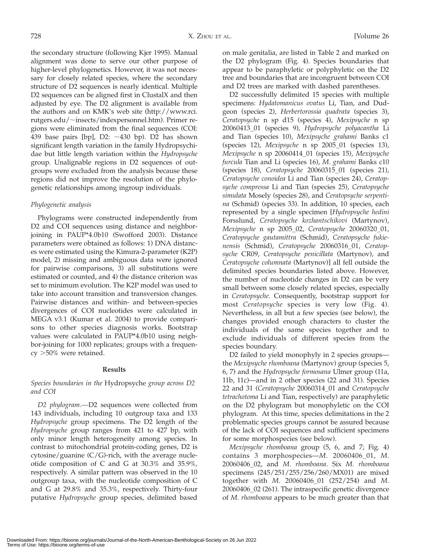the secondary structure (following Kjer 1995). Manual alignment was done to serve our other purpose of higher-level phylogenetics. However, it was not necessary for closely related species, where the secondary structure of D2 sequences is nearly identical. Multiple D2 sequences can be aligned first in ClustalX and then adjusted by eye. The D2 alignment is available from the authors and on KMK's web site (http://www.rci. rutgers.edu/~insects/indexpersonnel.htm). Primer regions were eliminated from the final sequences (COI: 439 base pairs [bp], D2:  $~130$  bp). D2 has shown significant length variation in the family Hydropsychidae but little length variation within the Hydropsyche group. Unalignable regions in D2 sequences of outgroups were excluded from the analysis because these regions did not improve the resolution of the phylogenetic relationships among ingroup individuals.

## Phylogenetic analysis

Phylograms were constructed independently from D2 and COI sequences using distance and neighborjoining in PAUP\*4.0b10 (Swofford 2003). Distance parameters were obtained as follows: 1) DNA distances were estimated using the Kimura-2-parameter (K2P) model, 2) missing and ambiguous data were ignored for pairwise comparisons, 3) all substitutions were estimated or counted, and 4) the distance criterion was set to minimum evolution. The K2P model was used to take into account transition and transversion changes. Pairwise distances and within- and between-species divergences of COI nucleotides were calculated in MEGA v3.1 (Kumar et al. 2004) to provide comparisons to other species diagnosis works. Bootstrap values were calculated in PAUP\*4.0b10 using neighbor-joining for 1000 replicates; groups with a frequen $cy > 50\%$  were retained.

### Results

## Species boundaries in the Hydropsyche group across D2 and COI

D2 phylogram.—D2 sequences were collected from 143 individuals, including 10 outgroup taxa and 133 Hydropsyche group specimens. The D2 length of the Hydropsyche group ranges from 421 to 427 bp, with only minor length heterogeneity among species. In contrast to mitochondrial protein-coding genes, D2 is cytosine/guanine  $(C/G)$ -rich, with the average nucleotide composition of C and G at 30.3% and 35.9%, respectively. A similar pattern was observed in the 10 outgroup taxa, with the nucleotide composition of C and G at 29.8% and 35.3%, respectively. Thirty-four putative Hydropsyche group species, delimited based

on male genitalia, are listed in Table 2 and marked on the D2 phylogram (Fig. 4). Species boundaries that appear to be paraphyletic or polyphyletic on the D2 tree and boundaries that are incongruent between COI and D2 trees are marked with dashed parentheses.

D2 successfully delimited 15 species with multiple specimens: Hydatomanicus ovatus Li, Tian, and Dudgeon (species 2), Herbertorossia quadrata (species 3), Ceratopsyche n sp d15 (species 4), Mexipsyche n sp 20060413\_01 (species 9), Hydropsyche polyacantha Li and Tian (species 10), Mexipsyche grahami Banks c1 (species 12), Mexipsyche n sp 2005\_01 (species 13), Mexipsyche n sp 20060414\_01 (species 15), Mexipsyche furcula Tian and Li (species 16), M. grahami Banks c10 (species 18), Ceratopsyche 20060315\_01 (species 21), Ceratopsyche conoidea Li and Tian (species 24), Ceratopsyche compressa Li and Tian (species 25), Ceratopsyche simulata Mosely (species 28), and Ceratopsyche serpentina (Schmid) (species 33). In addition, 10 species, each represented by a single specimen [Hydropsyche hedini Forsslund, Ceratopsyche kozhantschikovi (Martynov), Mexipsyche n sp 2005\_02, Ceratopsyche 20060320\_01, Ceratopsyche gautamittra (Schmid), Ceratopsyche fukienensis (Schmid), Ceratopsyche 20060316\_01, Ceratopsyche CR09, Ceratopsyche penicillata (Martynov), and Ceratopsyche columnata (Martynov)] all fell outside the delimited species boundaries listed above. However, the number of nucleotide changes in D2 can be very small between some closely related species, especially in Ceratopsyche. Consequently, bootstrap support for most Ceratopsyche species is very low (Fig. 4). Nevertheless, in all but a few species (see below), the changes provided enough characters to cluster the individuals of the same species together and to exclude individuals of different species from the species boundary.

D2 failed to yield monophyly in 2 species groups the Mexipsyche rhomboana (Martynov) group (species 5, 6, 7) and the Hydropsyche formosana Ulmer group (11a, 11b, 11c)—and in 2 other species (22 and 31). Species 22 and 31 (Ceratopsyche 20060314\_01 and Ceratopsyche tetrachotoma Li and Tian, respectively) are paraphyletic on the D2 phylogram but monophyletic on the COI phylogram. At this time, species delimitations in the 2 problematic species groups cannot be assured because of the lack of COI sequences and sufficient specimens for some morphospecies (see below).

Mexipsyche rhomboana group (5, 6, and 7; Fig. 4) contains 3 morphospecies—M. 20060406\_01, M. 20060406\_02, and M. rhomboana. Six M. rhomboana specimens (245/251/255/256/260/MX01) are mixed together with M. 20060406\_01 (252/254) and M. 20060406\_02 (261). The intraspecific genetic divergence of M. rhomboana appears to be much greater than that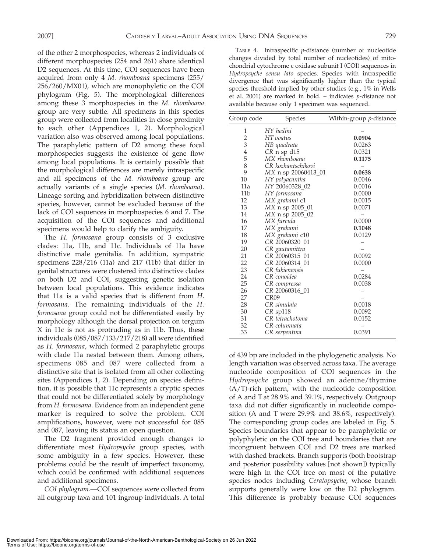of the other 2 morphospecies, whereas 2 individuals of different morphospecies (254 and 261) share identical D2 sequences. At this time, COI sequences have been acquired from only 4 M. rhomboana specimens (255/ 256/260/MX01), which are monophyletic on the COI phylogram (Fig. 5). The morphological differences among these 3 morphospecies in the M. rhomboana group are very subtle. All specimens in this species group were collected from localities in close proximity to each other (Appendices 1, 2). Morphological variation also was observed among local populations. The paraphyletic pattern of D2 among these focal morphospecies suggests the existence of gene flow among local populations. It is certainly possible that the morphological differences are merely intraspecific and all specimens of the M. rhomboana group are actually variants of a single species (M. rhomboana). Lineage sorting and hybridization between distinctive species, however, cannot be excluded because of the lack of COI sequences in morphospecies 6 and 7. The acquisition of the COI sequences and additional specimens would help to clarify the ambiguity.

The H. formosana group consists of 3 exclusive clades: 11a, 11b, and 11c. Individuals of 11a have distinctive male genitalia. In addition, sympatric specimens 228/216 (11a) and 217 (11b) that differ in genital structures were clustered into distinctive clades on both D2 and COI, suggesting genetic isolation between local populations. This evidence indicates that 11a is a valid species that is different from H. formosana. The remaining individuals of the H. formosana group could not be differentiated easily by morphology although the dorsal projection on tergum X in 11c is not as protruding as in 11b. Thus, these individuals (085/087/133/217/218) all were identified as H. formosana, which formed 2 paraphyletic groups with clade 11a nested between them. Among others, specimens 085 and 087 were collected from a distinctive site that is isolated from all other collecting sites (Appendices 1, 2). Depending on species definition, it is possible that 11c represents a cryptic species that could not be differentiated solely by morphology from H. formosana. Evidence from an independent gene marker is required to solve the problem. COI amplifications, however, were not successful for 085 and 087, leaving its status an open question.

The D2 fragment provided enough changes to differentiate most Hydropsyche group species, with some ambiguity in a few species. However, these problems could be the result of imperfect taxonomy, which could be confirmed with additional sequences and additional specimens.

COI phylogram.—COI sequences were collected from all outgroup taxa and 101 ingroup individuals. A total

TABLE 4. Intraspecific p-distance (number of nucleotide changes divided by total number of nucleotides) of mitochondrial cytochrome c oxidase subunit I (COI) sequences in Hydropsyche sensu lato species. Species with intraspecific divergence that was significantly higher than the typical species threshold implied by other studies (e.g., 1% in Wells et al. 2001) are marked in bold. – indicates  $p$ -distance not available because only 1 specimen was sequenced.

| Group code     | Species             | Within-group $p$ -distance |
|----------------|---------------------|----------------------------|
| 1              | HY hedini           |                            |
|                | HT ovatus           | 0.0904                     |
| $rac{2}{3}$    | HB quadrata         | 0.0263                     |
| $\overline{4}$ | $CR$ n sp d $15$    | 0.0321                     |
| 5              | MX rhomboana        | 0.1175                     |
| 8              | CR kozhantschikovi  |                            |
| 9              | MX n sp 20060413_01 | 0.0638                     |
| 10             | HY polyacantha      | 0.0046                     |
| 11a            | HY 20060328_02      | 0.0016                     |
| 11b            | HY formosana        | 0.0000                     |
| 12             | MX grahami c1       | 0.0015                     |
| 13             | MX n sp 2005_01     | 0.0071                     |
| 14             | MX n sp 2005_02     |                            |
| 16             | MX furcula          | 0.0000                     |
| 17             | MX grahami          | 0.1048                     |
| 18             | MX grahami c10      | 0.0129                     |
| 19             | CR 20060320_01      |                            |
| 20             | CR gautamittra      |                            |
| 21             | CR 20060315_01      | 0.0092                     |
| 22             | CR 20060314 01      | 0.0000                     |
| 23             | CR fukienensis      |                            |
| 24             | CR conoidea         | 0.0284                     |
| 25             | CR compressa        | 0.0038                     |
| 26             | CR 20060316_01      |                            |
| 27             | CR <sub>09</sub>    |                            |
| 28             | CR simulata         | 0.0018                     |
| 30             | CR sp118            | 0.0092                     |
| 31             | CR tetrachotoma     | 0.0152                     |
| 32             | CR columnata        |                            |
| 33             | CR serpentina       | 0.0391                     |

of 439 bp are included in the phylogenetic analysis. No length variation was observed across taxa. The average nucleotide composition of COI sequences in the Hydropsyche group showed an adenine/thymine (A/T)-rich pattern, with the nucleotide composition of A and T at 28.9% and 39.1%, respectively. Outgroup taxa did not differ significantly in nucleotide composition (A and T were 29.9% and 38.6%, respectively). The corresponding group codes are labeled in Fig. 5. Species boundaries that appear to be paraphyletic or polyphyletic on the COI tree and boundaries that are incongruent between COI and D2 trees are marked with dashed brackets. Branch supports (both bootstrap and posterior possibility values [not shown]) typically were high in the COI tree on most of the putative species nodes including Ceratopsyche, whose branch supports generally were low on the D2 phylogram. This difference is probably because COI sequences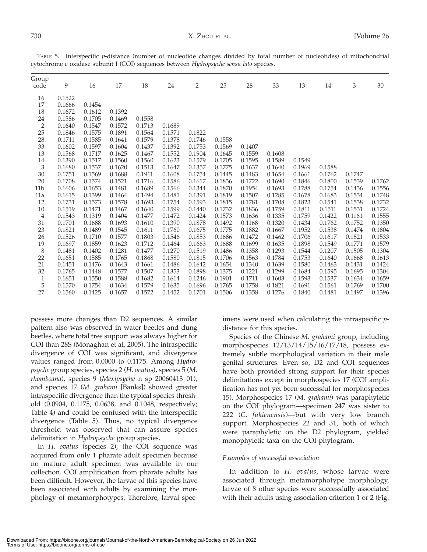| Group<br>code               | 9                | 16               | 17               | 18               | 24               | $\overline{2}$   | 25               | 28               | 33               | 13               | 14               | 3                | 30               |
|-----------------------------|------------------|------------------|------------------|------------------|------------------|------------------|------------------|------------------|------------------|------------------|------------------|------------------|------------------|
| 16                          | 0.1522           |                  |                  |                  |                  |                  |                  |                  |                  |                  |                  |                  |                  |
| 17                          | 0.1666           | 0.1454           |                  |                  |                  |                  |                  |                  |                  |                  |                  |                  |                  |
| 18                          | 0.1672           | 0.1612           | 0.1392           |                  |                  |                  |                  |                  |                  |                  |                  |                  |                  |
| 24                          | 0.1586           | 0.1705           | 0.1469           | 0.1558           |                  |                  |                  |                  |                  |                  |                  |                  |                  |
| $\sqrt{2}$                  | 0.1640           | 0.1547           | 0.1572           | 0.1713           | 0.1689           |                  |                  |                  |                  |                  |                  |                  |                  |
| 25                          | 0.1846           | 0.1575           | 0.1891           | 0.1564           | 0.1571           | 0.1822           |                  |                  |                  |                  |                  |                  |                  |
| 28                          | 0.1711           | 0.1585           | 0.1641           | 0.1579           | 0.1378           | 0.1746           | 0.1558           |                  |                  |                  |                  |                  |                  |
| 33                          | 0.1602           | 0.1597           | 0.1604           | 0.1437           | 0.1392           | 0.1753           | 0.1569           | 0.1407           |                  |                  |                  |                  |                  |
| 13                          | 0.1568           | 0.1717           | 0.1625           | 0.1467           | 0.1552           | 0.1904           | 0.1645           | 0.1559           | 0.1608           |                  |                  |                  |                  |
| $14\,$                      | 0.1390           | 0.1517           | 0.1560           | 0.1560           | 0.1623           | 0.1579           | 0.1705           | 0.1595           | 0.1589           | 0.1549           |                  |                  |                  |
| $\ensuremath{\mathfrak{Z}}$ | 0.1680           | 0.1537           | 0.1620           | 0.1513           | 0.1647           | 0.1357           | 0.1775           | 0.1637           | 0.1640           | 0.1969           | 0.1588           |                  |                  |
| 30                          | 0.1751           | 0.1569           | 0.1688           | 0.1911           | 0.1608           | 0.1754           | 0.1445           | 0.1483           | 0.1654           | 0.1661           | 0.1762           | 0.1747           |                  |
| 20                          | 0.1708           | 0.1574           | 0.1521           | 0.1716           | 0.1586           | 0.1617           | 0.1836           | 0.1722           | 0.1690           | 0.1846           | 0.1800           | 0.1539           | 0.1762           |
| 11 <sub>b</sub>             | 0.1606           | 0.1653           | 0.1481           | 0.1689           | 0.1566           | 0.1344           | 0.1870           | 0.1954           | 0.1693           | 0.1788           | 0.1754           | 0.1436           | 0.1556           |
| 11a                         | 0.1615           | 0.1399           | 0.1464           | 0.1494           | 0.1481           | 0.1391           | 0.1819           | 0.1507           | 0.1285           | 0.1678           | 0.1683           | 0.1534           | 0.1748           |
| 12                          | 0.1731           | 0.1573           | 0.1578           | 0.1693           | 0.1754           | 0.1593           | 0.1815           | 0.1781           | 0.1708           | 0.1823           | 0.1541           | 0.1538           | 0.1732           |
| 10                          | 0.1519           | 0.1471           | 0.1467           | 0.1640           | 0.1599           | 0.1440           | 0.1732           | 0.1836           | 0.1759           | 0.1811           | 0.1511           | 0.1531           | 0.1724           |
| $\,4\,$                     | 0.1543           | 0.1319           | 0.1404           | 0.1477           | 0.1472           | 0.1424           | 0.1573           | 0.1636           | 0.1335           | 0.1759           | 0.1422           | 0.1161           | 0.1555           |
| 31                          | 0.1701           | 0.1688           | 0.1693           | 0.1610           | 0.1390           | 0.1878           | 0.1492           | 0.1168           | 0.1320           | 0.1434           | 0.1762           | 0.1752           | 0.1350           |
| 23<br>26                    | 0.1821<br>0.1526 | 0.1489<br>0.1710 | 0.1545<br>0.1577 | 0.1611<br>0.1803 | 0.1760<br>0.1546 | 0.1675<br>0.1853 | 0.1775<br>0.1686 | 0.1882<br>0.1472 | 0.1667<br>0.1462 | 0.1952<br>0.1706 | 0.1538<br>0.1617 | 0.1474<br>0.1821 | 0.1804<br>0.1533 |
| 19                          | 0.1697           | 0.1859           | 0.1623           | 0.1712           | 0.1464           | 0.1663           | 0.1688           | 0.1699           | 0.1635           | 0.1898           | 0.1549           | 0.1771           | 0.1579           |
| $\,$ 8 $\,$                 | 0.1481           | 0.1402           | 0.1281           | 0.1477           | 0.1270           | 0.1519           | 0.1486           | 0.1358           | 0.1293           | 0.1544           | 0.1207           | 0.1505           | 0.1304           |
| 22                          | 0.1651           | 0.1585           | 0.1765           | 0.1868           | 0.1580           | 0.1815           | 0.1706           | 0.1563           | 0.1784           | 0.1753           | 0.1640           | 0.1668           | 0.1613           |
| 21                          | 0.1451           | 0.1476           | 0.1643           | 0.1661           | 0.1486           | 0.1642           | 0.1654           | 0.1340           | 0.1639           | 0.1580           | 0.1463           | 0.1431           | 0.1424           |
| 32                          | 0.1765           | 0.1448           | 0.1577           | 0.1507           | 0.1353           | 0.1898           | 0.1375           | 0.1221           | 0.1299           | 0.1684           | 0.1595           | 0.1695           | 0.1304           |
| $\,1\,$                     | 0.1651           | 0.1550           | 0.1588           | 0.1682           | 0.1614           | 0.1246           | 0.1901           | 0.1711           | 0.1603           | 0.1593           | 0.1537           | 0.1634           | 0.1659           |
| 5                           | 0.1570           | 0.1754           | 0.1634           | 0.1579           | 0.1635           | 0.1696           | 0.1765           | 0.1758           | 0.1821           | 0.1691           | 0.1561           | 0.1769           | 0.1700           |
| 27                          | 0.1560           | 0.1425           | 0.1657           | 0.1572           | 0.1452           | 0.1701           | 0.1506           | 0.1358           | 0.1276           | 0.1840           | 0.1481           | 0.1497           | 0.1396           |
|                             |                  |                  |                  |                  |                  |                  |                  |                  |                  |                  |                  |                  |                  |

TABLE 5. Interspecific p-distance (number of nucleotide changes divided by total number of nucleotides) of mitochondrial cytochrome c oxidase subunit I (COI) sequences between Hydropsyche sensu lato species.

possess more changes than D2 sequences. A similar pattern also was observed in water beetles and dung beetles, where total tree support was always higher for COI than 28S (Monaghan et al. 2005). The intraspecific divergence of COI was significant, and divergence values ranged from 0.0000 to 0.1175. Among Hydropsyche group species, species 2 (H. ovatus), species 5 (M. rhomboana), species 9 (Mexipsyche n sp 20060413\_01), and species 17 (M. grahami [Banks]) showed greater intraspecific divergence than the typical species threshold (0.0904, 0.1175, 0.0638, and 0.1048, respectively; Table 4) and could be confused with the interspecific divergence (Table 5). Thus, no typical divergence threshold was observed that can assure species delimitation in Hydropsyche group species.

In H. ovatus (species 2), the COI sequence was acquired from only 1 pharate adult specimen because no mature adult specimen was available in our collection. COI amplification from pharate adults has been difficult. However, the larvae of this species have been associated with adults by examining the morphology of metamorphotypes. Therefore, larval specimens were used when calculating the intraspecific *p*distance for this species.

Species of the Chinese M. grahami group, including morphospecies 12/13/14/15/16/17/18, possess extremely subtle morphological variation in their male genital structures. Even so, D2 and COI sequences have both provided strong support for their species delimitations except in morphospecies 17 (COI amplification has not yet been successful for morphospecies 15). Morphospecies 17 (M. grahami) was paraphyletic on the COI phylogram—specimen 247 was sister to 222 (C. fukienensis)—but with very low branch support. Morphospecies 22 and 31, both of which were paraphyletic on the D2 phylogram, yielded monophyletic taxa on the COI phylogram.

### Examples of successful association

In addition to H. ovatus, whose larvae were associated through metamorphotype morphology, larvae of 8 other species were successfully associated with their adults using association criterion 1 or 2 (Fig.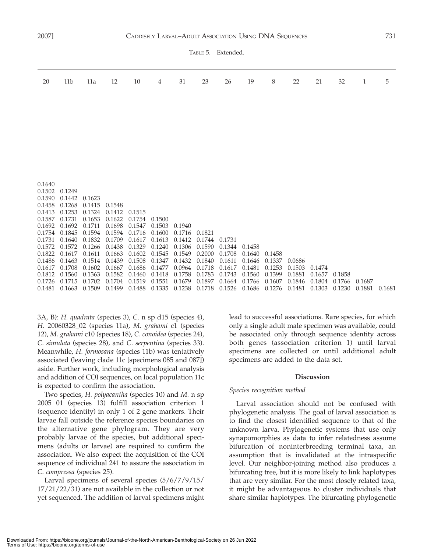| TABLE 5. | Extended. |
|----------|-----------|
|          |           |

| 0.1640<br>0.1502<br>0.1590 | 0.1249<br>0.1442 | 0.1623 |        |        |        |        |        |        |        |        |        |        |        |        |        |
|----------------------------|------------------|--------|--------|--------|--------|--------|--------|--------|--------|--------|--------|--------|--------|--------|--------|
| 0.1458                     | 0.1268           | 0.1415 | 0.1548 |        |        |        |        |        |        |        |        |        |        |        |        |
| 0.1413                     | 0.1253           | 0.1324 | 0.1412 | 0.1515 |        |        |        |        |        |        |        |        |        |        |        |
| 0.1587                     | 0.1731           | 0.1653 | 0.1622 | 0.1754 | 0.1500 |        |        |        |        |        |        |        |        |        |        |
|                            |                  |        |        |        |        |        |        |        |        |        |        |        |        |        |        |
| 0.1692                     | 0.1692           | 0.1711 | 0.1698 | 0.1547 | 0.1503 | 0.1940 |        |        |        |        |        |        |        |        |        |
| 0.1754                     | 0.1845           | 0.1594 | 0.1594 | 0.1716 | 0.1600 | 0.1716 | 0.1821 |        |        |        |        |        |        |        |        |
| 0.1731                     | 0.1640           | 0.1832 | 0.1709 | 0.1617 | 0.1613 | 0.1412 | 0.1744 | 0.1731 |        |        |        |        |        |        |        |
| 0.1572                     | 0.1572           | 0.1266 | 0.1438 | 0.1329 | 0.1240 | 0.1306 | 0.1590 | 0.1344 | 0.1458 |        |        |        |        |        |        |
| 0.1822                     | 0.1617           | 0.1611 | 0.1663 | 0.1602 | 0.1545 | 0.1549 | 0.2000 | 0.1708 | 0.1640 | 0.1458 |        |        |        |        |        |
| 0.1486                     | 0.1463           | 0.1514 | 0.1439 | 0.1508 | 0.1347 | 0.1432 | 0.1840 | 0.1611 | 0.1646 | 0.1337 | 0.0686 |        |        |        |        |
| 0.1617                     | 0.1708           | 0.1602 | 0.1667 | 0.1686 | 0.1477 | 0.0964 | 0.1718 | 0.1617 | 0.1481 | 0.1253 | 0.1503 | 0.1474 |        |        |        |
| 0.1812                     | 0.1560           | 0.1363 | 0.1582 | 0.1460 | 0.1418 | 0.1758 | 0.1783 | 0.1743 | 0.1560 | 0.1399 | 0.1881 | 0.1657 | 0.1858 |        |        |
| 0.1726                     | 0.1715           | 0.1702 | 0.1704 | 0.1519 | 0.1551 | 0.1679 | 0.1897 | 0.1664 | 0.1766 | 0.1607 | 0.1846 | 0.1804 | 0.1766 | 0.1687 |        |
| 0.1481                     | 0.1663           | 0.1509 | 0.1499 | 0.1488 | 0.1335 | 0.1238 | 0.1718 | 0.1526 | 0.1686 | 0.1276 | 0.1481 | 0.1303 | 0.1230 | 0.1881 | 0.1681 |

3A, B): H. quadrata (species 3), C. n sp d15 (species 4), H. 20060328\_02 (species 11a), M. grahami c1 (species 12), M. grahami c10 (species 18), C. conoidea (species 24), C. simulata (species 28), and C. serpentina (species 33). Meanwhile, H. formosana (species 11b) was tentatively associated (leaving clade 11c [specimens 085 and 087]) aside. Further work, including morphological analysis and addition of COI sequences, on local population 11c is expected to confirm the association.

Two species, H. polyacantha (species 10) and M. n sp 2005 01 (species 13) fulfill association criterion 1 (sequence identity) in only 1 of 2 gene markers. Their larvae fall outside the reference species boundaries on the alternative gene phylogram. They are very probably larvae of the species, but additional specimens (adults or larvae) are required to confirm the association. We also expect the acquisition of the COI sequence of individual 241 to assure the association in C. compressa (species 25).

Larval specimens of several species (5/6/7/9/15/ 17/21/22/31) are not available in the collection or not yet sequenced. The addition of larval specimens might lead to successful associations. Rare species, for which only a single adult male specimen was available, could be associated only through sequence identity across both genes (association criterion 1) until larval specimens are collected or until additional adult specimens are added to the data set.

#### **Discussion**

#### Species recognition method

Larval association should not be confused with phylogenetic analysis. The goal of larval association is to find the closest identified sequence to that of the unknown larva. Phylogenetic systems that use only synapomorphies as data to infer relatedness assume bifurcation of noninterbreeding terminal taxa, an assumption that is invalidated at the intraspecific level. Our neighbor-joining method also produces a bifurcating tree, but it is more likely to link haplotypes that are very similar. For the most closely related taxa, it might be advantageous to cluster individuals that share similar haplotypes. The bifurcating phylogenetic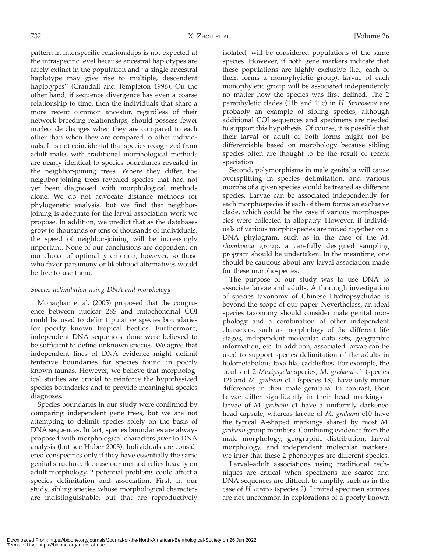pattern in interspecific relationships is not expected at the intraspecific level because ancestral haplotypes are rarely extinct in the population and ''a single ancestral haplotype may give rise to multiple, descendent haplotypes'' (Crandall and Templeton 1996). On the other hand, if sequence divergence has even a coarse relationship to time, then the individuals that share a more recent common ancestor, regardless of their network breeding relationships, should possess fewer nucleotide changes when they are compared to each other than when they are compared to other individuals. It is not coincidental that species recognized from adult males with traditional morphological methods are nearly identical to species boundaries revealed in the neighbor-joining trees. Where they differ, the neighbor-joining trees revealed species that had not yet been diagnosed with morphological methods alone. We do not advocate distance methods for phylogenetic analysis, but we find that neighborjoining is adequate for the larval association work we propose. In addition, we predict that as the databases grow to thousands or tens of thousands of individuals, the speed of neighbor-joining will be increasingly important. None of our conclusions are dependent on our choice of optimality criterion, however, so those who favor parsimony or likelihood alternatives would be free to use them.

# Species delimitation using DNA and morphology

Monaghan et al. (2005) proposed that the congruence between nuclear 28S and mitochondrial COI could be used to delimit putative species boundaries for poorly known tropical beetles. Furthermore, independent DNA sequences alone were believed to be sufficient to define unknown species. We agree that independent lines of DNA evidence might delimit tentative boundaries for species found in poorly known faunas. However, we believe that morphological studies are crucial to reinforce the hypothesized species boundaries and to provide meaningful species diagnoses.

Species boundaries in our study were confirmed by comparing independent gene trees, but we are not attempting to delimit species solely on the basis of DNA sequences. In fact, species boundaries are always proposed with morphological characters prior to DNA analysis (but see Huber 2003). Individuals are considered conspecifics only if they have essentially the same genital structure. Because our method relies heavily on adult morphology, 2 potential problems could affect a species delimitation and association. First, in our study, sibling species whose morphological characters are indistinguishable, but that are reproductively isolated, will be considered populations of the same species. However, if both gene markers indicate that these populations are highly exclusive (i.e., each of them forms a monophyletic group), larvae of each monophyletic group will be associated independently no matter how the species was first defined. The 2 paraphyletic clades (11b and 11c) in H. formosana are probably an example of sibling species, although additional COI sequences and specimens are needed to support this hypothesis. Of course, it is possible that their larval or adult or both forms might not be differentiable based on morphology because sibling species often are thought to be the result of recent speciation.

Second, polymorphisms in male genitalia will cause oversplitting in species delimitation, and various morphs of a given species would be treated as different species. Larvae can be associated independently for each morphospecies if each of them forms an exclusive clade, which could be the case if various morphospecies were collected in allopatry. However, if individuals of various morphospecies are mixed together on a DNA phylogram, such as in the case of the M. rhomboana group, a carefully designed sampling program should be undertaken. In the meantime, one should be cautious about any larval association made for these morphospecies.

The purpose of our study was to use DNA to associate larvae and adults. A thorough investigation of species taxonomy of Chinese Hydropsychidae is beyond the scope of our paper. Nevertheless, an ideal species taxonomy should consider male genital morphology and a combination of other independent characters, such as morphology of the different life stages, independent molecular data sets, geographic information, etc. In addition, associated larvae can be used to support species delimitation of the adults in holometabolous taxa like caddisflies. For example, the adults of 2 Mexipsyche species, M. grahami c1 (species 12) and M. grahami c10 (species 18), have only minor differences in their male genitalia. In contrast, their larvae differ significantly in their head markings larvae of M. grahami c1 have a uniformly darkened head capsule, whereas larvae of M. grahami c10 have the typical A-shaped markings shared by most M. grahami group members. Combining evidence from the male morphology, geographic distribution, larval morphology, and independent molecular markers, we infer that these 2 phenotypes are different species.

Larval–adult associations using traditional techniques are critical when specimens are scarce and DNA sequences are difficult to amplify, such as in the case of H. ovatus (species 2). Limited specimen sources are not uncommon in explorations of a poorly known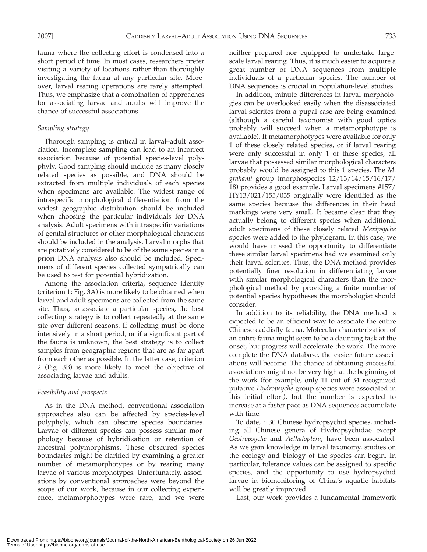fauna where the collecting effort is condensed into a short period of time. In most cases, researchers prefer visiting a variety of locations rather than thoroughly investigating the fauna at any particular site. Moreover, larval rearing operations are rarely attempted. Thus, we emphasize that a combination of approaches for associating larvae and adults will improve the chance of successful associations.

#### Sampling strategy

Thorough sampling is critical in larval–adult association. Incomplete sampling can lead to an incorrect association because of potential species-level polyphyly. Good sampling should include as many closely related species as possible, and DNA should be extracted from multiple individuals of each species when specimens are available. The widest range of intraspecific morphological differentiation from the widest geographic distribution should be included when choosing the particular individuals for DNA analysis. Adult specimens with intraspecific variations of genital structures or other morphological characters should be included in the analysis. Larval morphs that are putatively considered to be of the same species in a priori DNA analysis also should be included. Specimens of different species collected sympatrically can be used to test for potential hybridization.

Among the association criteria, sequence identity (criterion 1; Fig. 3A) is more likely to be obtained when larval and adult specimens are collected from the same site. Thus, to associate a particular species, the best collecting strategy is to collect repeatedly at the same site over different seasons. If collecting must be done intensively in a short period, or if a significant part of the fauna is unknown, the best strategy is to collect samples from geographic regions that are as far apart from each other as possible. In the latter case, criterion 2 (Fig. 3B) is more likely to meet the objective of associating larvae and adults.

#### Feasibility and prospects

As in the DNA method, conventional association approaches also can be affected by species-level polyphyly, which can obscure species boundaries. Larvae of different species can possess similar morphology because of hybridization or retention of ancestral polymorphisms. These obscured species boundaries might be clarified by examining a greater number of metamorphotypes or by rearing many larvae of various morphotypes. Unfortunately, associations by conventional approaches were beyond the scope of our work, because in our collecting experience, metamorphotypes were rare, and we were neither prepared nor equipped to undertake largescale larval rearing. Thus, it is much easier to acquire a great number of DNA sequences from multiple individuals of a particular species. The number of DNA sequences is crucial in population-level studies.

In addition, minute differences in larval morphologies can be overlooked easily when the disassociated larval sclerites from a pupal case are being examined (although a careful taxonomist with good optics probably will succeed when a metamorphotype is available). If metamorphotypes were available for only 1 of these closely related species, or if larval rearing were only successful in only 1 of these species, all larvae that possessed similar morphological characters probably would be assigned to this 1 species. The M. grahami group (morphospecies 12/13/14/15/16/17/ 18) provides a good example. Larval specimens #157/ HY13/021/155/035 originally were identified as the same species because the differences in their head markings were very small. It became clear that they actually belong to different species when additional adult specimens of these closely related Mexipsyche species were added to the phylogram. In this case, we would have missed the opportunity to differentiate these similar larval specimens had we examined only their larval sclerites. Thus, the DNA method provides potentially finer resolution in differentiating larvae with similar morphological characters than the morphological method by providing a finite number of potential species hypotheses the morphologist should consider.

In addition to its reliability, the DNA method is expected to be an efficient way to associate the entire Chinese caddisfly fauna. Molecular characterization of an entire fauna might seem to be a daunting task at the onset, but progress will accelerate the work. The more complete the DNA database, the easier future associations will become. The chance of obtaining successful associations might not be very high at the beginning of the work (for example, only 11 out of 34 recognized putative Hydropsyche group species were associated in this initial effort), but the number is expected to increase at a faster pace as DNA sequences accumulate with time.

To date,  $\sim$ 30 Chinese hydropsychid species, including all Chinese genera of Hydropsychidae except Oestropsyche and Aethaloptera, have been associated. As we gain knowledge in larval taxonomy, studies on the ecology and biology of the species can begin. In particular, tolerance values can be assigned to specific species, and the opportunity to use hydropsychid larvae in biomonitoring of China's aquatic habitats will be greatly improved.

Last, our work provides a fundamental framework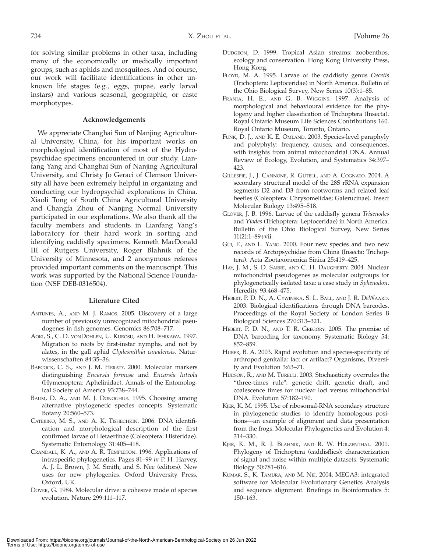for solving similar problems in other taxa, including many of the economically or medically important groups, such as aphids and mosquitoes. And of course, our work will facilitate identifications in other unknown life stages (e.g., eggs, pupae, early larval instars) and various seasonal, geographic, or caste morphotypes.

## Acknowledgements

We appreciate Changhai Sun of Nanjing Agricultural University, China, for his important works on morphological identification of most of the Hydropsychidae specimens encountered in our study. Lianfang Yang and Changhai Sun of Nanjing Agricultural University, and Christy Jo Geraci of Clemson University all have been extremely helpful in organizing and conducting our hydropsychid explorations in China. Xiaoli Tong of South China Agricultural University and Changfa Zhou of Nanjing Normal University participated in our explorations. We also thank all the faculty members and students in Lianfang Yang's laboratory for their hard work in sorting and identifying caddisfly specimens. Kenneth MacDonald III of Rutgers University, Roger Blahnik of the University of Minnesota, and 2 anonymous referees provided important comments on the manuscript. This work was supported by the National Science Foundation (NSF DEB-0316504).

# Literature Cited

- ANTUNES, A., AND M. J. RAMOS. 2005. Discovery of a large number of previously unrecognized mitochondrial pseudogenes in fish genomes. Genomics 86:708–717.
- AOKI, S., C. D. VONDOHLEN, U. KUROSU, AND H. ISHIKAWA. 1997. Migration to roots by first-instar nymphs, and not by alates, in the gall aphid Clydesmithia canadensis. Naturwissenschaften 84:35–36.
- BABCOCK, C. S., AND J. M. HERATY. 2000. Molecular markers distinguishing Encarsia formosa and Encarsia luteola (Hymenoptera: Aphelinidae). Annals of the Entomological Society of America 93:738–744.
- BAUM, D. A., AND M. J. DONOGHUE. 1995. Choosing among alternative phylogenetic species concepts. Systematic Botany 20:560–573.
- CATERINO, M. S., AND A. K. TISHECHKIN. 2006. DNA identification and morphological description of the first confirmed larvae of Hetaeriinae (Coleoptera: Histeridae). Systematic Entomology 31:405–418.
- CRANDALL, K. A., AND A. R. TEMPLETON. 1996. Applications of intraspecific phylogenetics. Pages 81–99 in P. H. Harvey, A. J. L. Brown, J. M. Smith, and S. Nee (editors). New uses for new phylogenies. Oxford University Press, Oxford, UK.
- DOVER, G. 1984. Molecular drive: a cohesive mode of species evolution. Nature 299:111–117.
- DUDGEON, D. 1999. Tropical Asian streams: zoobenthos, ecology and conservation. Hong Kong University Press, Hong Kong.
- FLOYD, M. A. 1995. Larvae of the caddisfly genus Oecetis (Trichoptera: Leptoceridae) in North America. Bulletin of the Ohio Biological Survey, New Series 10(3):1–85.
- FRANIA, H. E., AND G. B. WIGGINS. 1997. Analysis of morphological and behavioural evidence for the phylogeny and higher classification of Trichoptera (Insecta). Royal Ontario Museum Life Sciences Contributions 160. Royal Ontario Museum, Toronto, Ontario.
- FUNK, D. J., AND K. E. OMLAND. 2003. Species-level paraphyly and polyphyly: frequency, causes, and consequences, with insights from animal mitochondrial DNA. Annual Review of Ecology, Evolution, and Systematics 34:397– 423.
- GILLESPIE, J., J. CANNONE, R. GUTELL, AND A. COGNATO. 2004. A secondary structural model of the 28S rRNA expansion segments D2 and D3 from rootworms and related leaf beetles (Coleoptera: Chrysomelidae; Galerucinae). Insect Molecular Biology 13:495–518.
- GLOVER, J. B. 1996. Larvae of the caddisfly genera Triaenodes and Ylodes (Trichoptera: Leptoceridae) in North America. Bulletin of the Ohio Biological Survey, New Series  $11(2):1-89+vii.$
- GUI, F., AND L. YANG. 2000. Four new species and two new records of Arctopsychidae from China (Insecta: Trichoptera). Acta Zootaxonomica Sinica 25:419–425.
- HAY, J. M., S. D. SARRE, AND C. H. DAUGHERTY. 2004. Nuclear mitochondrial pseudogenes as molecular outgroups for phylogenetically isolated taxa: a case study in Sphenodon. Heredity 93:468–475.
- HEBERT, P. D. N., A. CYWINSKA, S. L. BALL, AND J. R. DEWAARD. 2003. Biological identifications through DNA barcodes. Proceedings of the Royal Society of London Series B Biological Sciences 270:313–321.
- HEBERT, P. D. N., AND T. R. GREGORY. 2005. The promise of DNA barcoding for taxonomy. Systematic Biology 54: 852–859.
- HUBER, B. A. 2003. Rapid evolution and species-specificity of arthropod genitalia: fact or artifact? Organisms, Diversity and Evolution 3:63–71.
- HUDSON, R., AND M. TURELLI. 2003. Stochasiticity overrules the "three-times rule": genetic drift, genetic draft, and coalescence times for nuclear loci versus mitochondrial DNA. Evolution 57:182–190.
- KJER, K. M. 1995. Use of ribosomal-RNA secondary structure in phylogenetic studies to identify homologous positions—an example of alignment and data presentation from the frogs. Molecular Phylogenetics and Evolution 4: 314–330.
- KJER, K. M., R. J. BLAHNIK, AND R. W. HOLZENTHAL. 2001. Phylogeny of Trichoptera (caddisflies): characterization of signal and noise within multiple datasets. Systematic Biology 50:781–816.
- KUMAR, S., K. TAMURA, AND M. NEI. 2004. MEGA3: integrated software for Molecular Evolutionary Genetics Analysis and sequence alignment. Briefings in Bioinformatics 5: 150–163.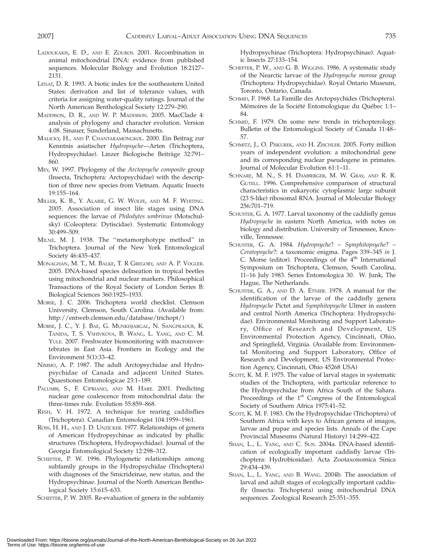- LADOUKAKIS, E. D., AND E. ZOUROS. 2001. Recombination in animal mitochondrial DNA: evidence from published sequences. Molecular Biology and Evolution 18:2127– 2131.
- LENAT, D. R. 1993. A biotic index for the southeastern United States: derivation and list of tolerance values, with criteria for assigning water-quality ratings. Journal of the North American Benthological Society 12:279–290.
- MADDISON, D. R., AND W. P. MADDISON. 2005. MacClade 4: analysis of phylogeny and character evolution. Version 4.08. Sinauer, Sunderland, Massachusetts.
- MALICKY, H., AND P. CHANTARAMONGKOL. 2000. Ein Beitrag zur Kenntnis asiatischer Hydropsyche—Arten (Trichoptera, Hydropsychidae). Linzer Biologische Beiträge 32:791– 860.
- MEY, W. 1997. Phylogeny of the Arctopsyche composite group (Insecta, Trichoptera: Arctopsychidae) with the description of three new species from Vietnam. Aquatic Insects 19:155–164.
- MILLER, K. B., Y. ALARIE, G. W. WOLFE, AND M. F. WHITING. 2005. Association of insect life stages using DNA sequences: the larvae of Philodytes umbrinus (Motschulsky) (Coleoptera: Dytiscidae). Systematic Entomology 30:499–509.
- MILNE, M. J. 1938. The ''metamorphotype method'' in Trichoptera. Journal of the New York Entomological Society 46:435–437.
- MONAGHAN, M. T., M. BALKE, T. R GREGORY, AND A. P. VOGLER. 2005. DNA-based species delineation in tropical beetles using mitochondrial and nuclear markers. Philosophical Transactions of the Royal Society of London Series B: Biological Sciences 360:1925–1933.
- MORSE, J. C. 2006. Trichoptera world checklist. Clemson University, Clemson, South Carolina. (Available from: http://entweb.clemson.edu/database/trichopt/)
- MORSE, J. C., Y. J. BAE, G. MUNKHJARGAL, N. SANGPRADUB, K. TANIDA, T. S. VSHIVKOVA, B. WANG, L. YANG, AND C. M. YULE. 2007. Freshwater biomonitoring with macroinvertebrates in East Asia. Frontiers in Ecology and the Environment 5(1):33–42.
- NIMMO, A. P. 1987. The adult Arctopsychidae and Hydropsychidae of Canada and adjacent United States. Quaestiones Entomologicae 23:1–189.
- PALUMBI, S., F. CIPRIANO, AND M. HARE. 2001. Predicting nuclear gene coalescence from mitochondrial data: the three-times rule. Evolution 55:859–868.
- RESH, V. H. 1972. A technique for rearing caddisflies (Trichoptera). Canadian Entomologist 104:1959–1961.
- ROSS, H. H., AND J. D. UNZICKER. 1977. Relationships of genera of American Hydropsychinae as indicated by phallic structures (Trichoptera, Hydropsychidae). Journal of the Georgia Entomological Society 12:298–312.
- SCHEFTER, P. W. 1996. Phylogenetic relationships among subfamily groups in the Hydropsychidae (Trichoptera) with diagnoses of the Smicrideinae, new status, and the Hydropsychinae. Journal of the North American Benthological Society 15:615–633.
- SCHEFTER, P. W. 2005. Re-evaluation of genera in the subfamiy

Hydropsychinae (Trichoptera: Hydropsychinae). Aquatic Insects 27:133–154.

- SCHEFTER, P. W., AND G. B. WIGGINS. 1986. A systematic study of the Nearctic larvae of the Hydropsyche morosa group (Trichoptera: Hydropsychidae). Royal Ontario Museum, Toronto, Ontario, Canada.
- SCHMID, F. 1968. La Famille des Arctopsychides (Trichoptera). Mémoires de la Société Entomologique du Québec 1:1-84.
- SCHMID, F. 1979. On some new trends in trichopterology. Bulletin of the Entomological Society of Canada 11:48– 57.
- SCHMITZ, J., O. PISKUREK, AND H. ZISCHLER. 2005. Forty million years of independent evolution: a mitochondrial gene and its corresponding nuclear pseudogene in primates. Journal of Molecular Evolution 61:1–11.
- SCHNARE, M. N., S. H. DAMBERGER, M. W. GRAY, AND R. R. GUTELL. 1996. Comprehensive comparison of structural characteristics in eukaryotic cytoplasmic large subunit (23 S-like) ribosomal RNA. Journal of Molecular Biology 256:701–719.
- SCHUSTER, G. A. 1977. Larval taxonomy of the caddisfly genus Hydropsyche in eastern North America, with notes on biology and distribution. University of Tennessee, Knoxville, Tennessee.
- SCHUSTER, G. A. 1984. Hydropsyche? Symphitopsyche? Ceratopsyche?: a taxonomic enigma. Pages 339–345 in J. C. Morse (editor). Proceedings of the  $4<sup>th</sup>$  International Symposium on Trichoptera, Clemson, South Carolina, 11–16 July 1983. Series Entomologica 30. W. Junk, The Hague, The Netherlands.
- SCHUSTER, G. A., AND D. A. ETNIER. 1978. A manual for the identification of the larvae of the caddisfly genera Hydropsyche Pictet and Symphitopsyche Ulmer in eastern and central North America (Trichoptera: Hydropsychidae). Environmental Monitoring and Support Laboratory, Office of Research and Development, US Environmental Protection Agency, Cincinnati, Ohio, and Springfield, Virginia. (Available from: Environmental Monitoring and Support Laboratory, Office of Research and Development, US Environmental Protection Agency, Cincinnati, Ohio 45268 USA)
- SCOTT, K. M. F. 1975. The value of larval stages in systematic studies of the Trichoptera, with particular reference to the Hydropsychidae from Africa South of the Sahara. Proceedings of the  $1<sup>st</sup>$  Congress of the Entomological Society of Southern Africa 1975:41–52.
- SCOTT, K. M. F. 1983. On the Hydropsychidae (Trichoptera) of Southern Africa with keys to African genera of imagos, larvae and pupae and species lists. Annals of the Cape Provincial Museums (Natural History) 14:299–422.
- SHAN, L., L. YANG, AND C. SUN. 2004a. DNA-based identification of ecologically important caddisfly larvae (Trichoptera: Hydrobiosidae). Acta Zootaxonomica Sinica 29:434–439.
- SHAN, L., L. YANG, AND B. WANG. 2004b. The association of larval and adult stages of ecologically important caddisfly (Insecta: Trichoptera) using mitochondrial DNA sequences. Zoological Research 25:351–355.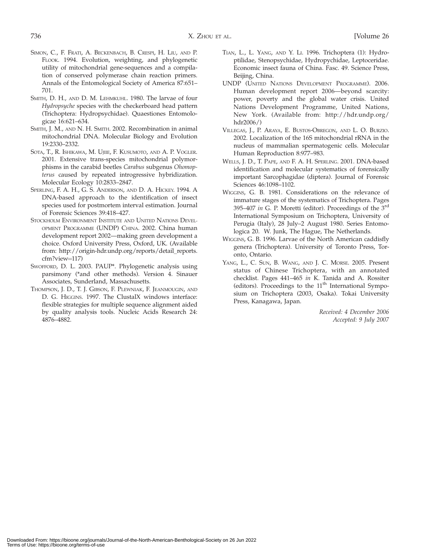- SIMON, C., F. FRATI, A. BECKENBACH, B. CRESPI, H. LIU, AND P. FLOOK. 1994. Evolution, weighting, and phylogenetic utility of mitochondrial gene-sequences and a compilation of conserved polymerase chain reaction primers. Annals of the Entomological Society of America 87:651– 701.
- SMITH, D. H., AND D. M. LEHMKUHL. 1980. The larvae of four Hydropsyche species with the checkerboard head pattern (Trichoptera: Hydropsychidae). Quaestiones Entomologicae 16:621–634.
- SMITH, J. M., AND N. H. SMITH. 2002. Recombination in animal mitochondrial DNA. Molecular Biology and Evolution 19:2330–2332.
- SOTA, T., R. ISHIKAWA, M. UJIIE, F. KUSUMOTO, AND A. P. VOGLER. 2001. Extensive trans-species mitochondrial polymorphisms in the carabid beetles Carabus subgenus Ohomopterus caused by repeated introgressive hybridization. Molecular Ecology 10:2833–2847.
- SPERLING, F. A. H., G. S. ANDERSON, AND D. A. HICKEY. 1994. A DNA-based approach to the identification of insect species used for postmortem interval estimation. Journal of Forensic Sciences 39:418–427.
- STOCKHOLM ENVIRONMENT INSTITUTE AND UNITED NATIONS DEVEL-OPMENT PROGRAMME (UNDP) CHINA. 2002. China human development report 2002—making green development a choice. Oxford University Press, Oxford, UK. (Available from: http://origin-hdr.undp.org/reports/detail\_reports. cfm?view=117)
- SWOFFORD, D. L. 2003. PAUP\*. Phylogenetic analysis using parsimony (\*and other methods). Version 4. Sinauer Associates, Sunderland, Massachusetts.
- THOMPSON, J. D., T. J. GIBSON, F. PLEWNIAK, F. JEANMOUGIN, AND D. G. HIGGINS. 1997. The ClustalX windows interface: flexible strategies for multiple sequence alignment aided by quality analysis tools. Nucleic Acids Research 24: 4876–4882.
- TIAN, L., L. YANG, AND Y. LI. 1996. Trichoptera (1): Hydroptilidae, Stenopsychidae, Hydropychidae, Leptoceridae. Economic insect fauna of China. Fasc. 49. Science Press, Beijing, China.
- UNDP (UNITED NATIONS DEVELOPMENT PROGRAMME). 2006. Human development report 2006—beyond scarcity: power, poverty and the global water crisis. United Nations Development Programme, United Nations, New York. (Available from: http://hdr.undp.org/ hdr2006/)
- VILLEGAS, J., P. ARAYA, E. BUSTOS-OBREGON, AND L. O. BURZIO. 2002. Localization of the 16S mitochondrial rRNA in the nucleus of mammalian spermatogenic cells. Molecular Human Reproduction 8:977–983.
- WELLS, J. D., T. PAPE, AND F. A. H. SPERLING. 2001. DNA-based identification and molecular systematics of forensically important Sarcophagidae (diptera). Journal of Forensic Sciences 46:1098–1102.
- WIGGINS, G. B. 1981. Considerations on the relevance of immature stages of the systematics of Trichoptera. Pages 395–407 in G. P. Moretti (editor). Proceedings of the  $3<sup>rd</sup>$ International Symposium on Trichoptera, University of Perugia (Italy), 28 July–2 August 1980. Series Entomologica 20. W. Junk, The Hague, The Netherlands.
- WIGGINS, G. B. 1996. Larvae of the North American caddisfly genera (Trichoptera). University of Toronto Press, Toronto, Ontario.
- YANG, L., C. SUN, B. WANG, AND J. C. MORSE. 2005. Present status of Chinese Trichoptera, with an annotated checklist. Pages 441–465 in K. Tanida and A. Rossiter (editors). Proceedings to the  $11<sup>th</sup>$  International Symposium on Trichoptera (2003, Osaka). Tokai University Press, Kanagawa, Japan.

Received: 4 December 2006 Accepted: 9 July 2007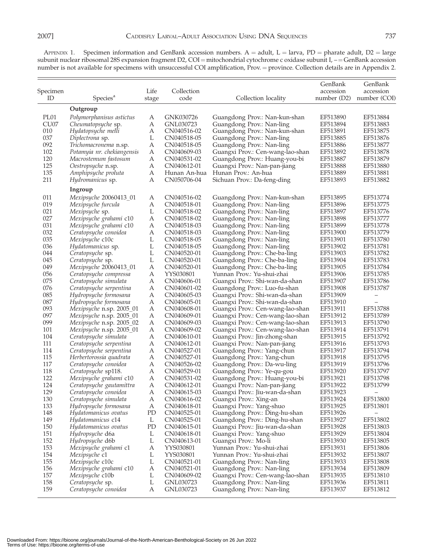APPENDIX 1. Specimen information and GenBank accession numbers.  $A =$  adult,  $L =$  larva, PD = pharate adult, D2 = large subunit nuclear ribosomal 28S expansion fragment D2, COI = mitochondrial cytochrome c oxidase subunit I, - = GenBank accession number is not available for specimens with unsuccessful COI amplification, Prov. = province. Collection details are in Appendix 2.

|                  |                                                      |        |                            |                                                                      | GenBank              | GenBank                                       |
|------------------|------------------------------------------------------|--------|----------------------------|----------------------------------------------------------------------|----------------------|-----------------------------------------------|
| Specimen         |                                                      | Life   | Collection                 |                                                                      | accession            | accession                                     |
| ID               | Species <sup>a</sup>                                 | stage  | code                       | Collection locality                                                  | number (D2)          | number (COI)                                  |
|                  | Outgroup                                             |        |                            |                                                                      |                      |                                               |
| PL01             | Polymorphanisus astictus                             | А      | GNK030726                  | Guangdong Prov.: Nan-kun-shan                                        | EF513890             | EF513884                                      |
| CU <sub>07</sub> | Cheumatopsyche sp.                                   | А      | GNL030723                  | Guangdong Prov.: Nan-ling                                            | EF513894             | EF513883                                      |
| 010              | Hydatopsyche melli                                   | А      | CN040516-02                | Guangdong Prov.: Nan-kun-shan                                        | EF513891             | EF513875                                      |
| 037              | Diplectrona sp.                                      | L      | CN040518-05                | Guangdong Prov.: Nan-ling                                            | EF513885             | EF513876                                      |
| 092              | Trichomacronema n.sp.                                | А      | CN040518-05                | Guangdong Prov.: Nan-ling                                            | EF513886             | EF513877                                      |
| 102              | Potamyia nr. chekiangensis                           | А      | CN040609-03                | Guangxi Prov.: Cen-wang-lao-shan                                     | EF513892             | EF513878                                      |
| 120              | Macrostemum fastosum                                 | А      | CN040531-02                | Guangdong Prov.: Huang-you-bi                                        | EF513887             | EF513879                                      |
| 125              | Oestropsyche n.sp.                                   | А      | CN040612-01                | Guangxi Prov.: Nan-pan-jiang                                         | EF513888             | EF513880                                      |
| 135              | Amphipsyche proluta                                  | А      | Hunan An-hua               | Hunan Prov.: An-hua                                                  | EF513889             | EF513881                                      |
| 211              | Hydromanicus sp.                                     | А      | CN050706-04                | Sichuan Prov.: Da-feng-ding                                          | EF513893             | EF513882                                      |
|                  | Ingroup                                              |        |                            |                                                                      |                      |                                               |
|                  |                                                      |        |                            |                                                                      |                      |                                               |
| 011              | Mexipsyche 20060413_01                               | А      | CN040516-02                | Guangdong Prov.: Nan-kun-shan                                        | EF513895             | EF513774                                      |
| 019              | Mexipsyche furcula                                   | А<br>L | CN040518-01                | Guangdong Prov.: Nan-ling                                            | EF513896<br>EF513897 | EF513775<br>EF513776                          |
| 021<br>027       | Mexipsyche sp.                                       |        | CN040518-02<br>CN040518-02 | Guangdong Prov.: Nan-ling                                            | EF513898             | EF513777                                      |
| 031              | Mexipsyche grahami c10                               | А<br>А | CN040518-03                | Guangdong Prov.: Nan-ling                                            | EF513899             | EF513778                                      |
| 032              | Mexipsyche grahami c10                               | А      | CN040518-03                | Guangdong Prov.: Nan-ling                                            | EF513900             | EF513779                                      |
| 035              | Ceratopsyche conoidea                                |        |                            | Guangdong Prov.: Nan-ling                                            |                      |                                               |
|                  | Mexipsyche c10c                                      | L      | CN040518-05                | Guangdong Prov.: Nan-ling                                            | EF513901             | EF513780                                      |
| 036              | Hydatomanicus sp.                                    | L<br>L | CN040518-05                | Guangdong Prov.: Nan-ling                                            | EF513902<br>EF513903 | EF513781                                      |
| 044              | Ceratopsyche sp.                                     |        | CN040520-01                | Guangdong Prov.: Che-ba-ling                                         |                      | EF513782<br>EF513783                          |
| 045              | Ceratopsyche sp.                                     | L      | CN040520-01                | Guangdong Prov.: Che-ba-ling                                         | EF513904<br>EF513905 |                                               |
| 049              | Mexipsyche 20060413_01                               | А<br>A | CN040520-01                | Guangdong Prov.: Che-ba-ling                                         |                      | EF513784<br>EF513785                          |
| 056<br>075       | Ceratopsyche compressa                               | А      | YYS030801<br>CN040606-01   | Yunnan Prov.: Yu-shui-zhai                                           | EF513906<br>EF513907 | EF513786                                      |
|                  | Ceratopsyche simulata                                |        |                            | Guangxi Prov.: Shi-wan-da-shan                                       |                      |                                               |
| 076              | Ceratopsyche serpentina                              | А      | CN040601-02                | Guangdong Prov.: Luo-fu-shan                                         | EF513908             | EF513787                                      |
| 085<br>087       | Hydropsyche formosana                                | А<br>А | CN040605-03<br>CN040605-01 | Guangxi Prov.: Shi-wan-da-shan                                       | EF513909<br>EF513910 | $\qquad \qquad -$<br>$\overline{\phantom{m}}$ |
| 093              | Hydropsyche formosana                                | А      | CN040608-01                | Guangxi Prov.: Shi-wan-da-shan                                       | EF513911             | EF513788                                      |
| 097              | Mexipsyche n.sp. 2005_01                             | А      | CN040609-01                | Guangxi Prov.: Cen-wang-lao-shan                                     | EF513912             | EF513789                                      |
| 099              | Mexipsyche n.sp. 2005_01<br>Mexipsyche n.sp. 2005_02 | А      | CN040609-03                | Guangxi Prov.: Cen-wang-lao-shan<br>Guangxi Prov.: Cen-wang-lao-shan | EF513913             | EF513790                                      |
| 101              | <i>Mexipsyche</i> n.sp. 2005_01                      | А      | CN040609-02                | Guangxi Prov.: Cen-wang-lao-shan                                     | EF513914             | EF513791                                      |
| 104              | Ceratopsyche simulata                                | А      | CN040610-01                | Guangxi Prov.: Jin-zhong-shan                                        | EF513915             | EF513792                                      |
| 111              | Ceratopsyche serpentina                              | А      | CN040612-01                | Guangxi Prov.: Nan-pan-jiang                                         | EF513916             | EF513793                                      |
| 114              | Ceratopsyche serpentina                              | А      | CN040527-01                | Guangdong Prov.: Yang-chun                                           | EF513917             | EF513794                                      |
| 115              | Herbertorossia quadrata                              | А      | CN040527-01                | Guangdong Prov.: Yang-chun                                           | EF513918             | EF513795                                      |
| 117              | Ceratopsyche conoidea                                | А      | CN040526-02                | Guangdong Prov.: Da-wu-ling                                          | EF513919             | EF513796                                      |
| 118              | Ceratopsyche sp118.                                  | А      | CN040529-01                | Guangdong Prov.: Ye-qu-gou                                           | EF513920             | EF513797                                      |
| 122              | Mexipsyche grahami c10                               | А      | CN040531-02                | Guangdong Prov.: Huang-you-bi                                        | EF513921             | EF513798                                      |
| 124              | Ceratopsyche gautamittra                             | А      | CN040612-01                | Guangxi Prov.: Nan-pan-jiang                                         | EF513922             | EF513799                                      |
| 129              | Ceratopsyche conoidea                                | А      | CN040615-03                | Guangxi Prov.: Jiu-wan-da-shan                                       | EF513923             |                                               |
| 130              | Ceratopsyche simulata                                | А      | CN040616-02                | Guangxi Prov.: Xing-an                                               | EF513924             | EF513800                                      |
| 133              | Hydropsyche formosana                                | А      | CN040618-01                | Guangxi Prov.: Yang-shuo                                             | EF513925             | EF513801                                      |
| 148              | Hydatomanicus ovatus                                 | PD     | CN040525-01                | Guangdong Prov.: Ding-hu-shan                                        | EF513926             |                                               |
| 149              | Hydatomanicus c14                                    | L      | CN040525-01                | Guangdong Prov.: Ding-hu-shan                                        | EF513927             | EF513802                                      |
| 150              | Hydatomanicus ovatus                                 | PD     | CN040615-01                | Guangxi Prov.: Jiu-wan-da-shan                                       | EF513928             | EF513803                                      |
| 151              | Hydropsyche d6a                                      | L      | CN040618-01                | Guangxi Prov.: Yang-shuo                                             | EF513929             | EF513804                                      |
| 152              | Hydropsyche d6b                                      | L      | CN040613-01                | Guangxi Prov.: Mo-li                                                 | EF513930             | EF513805                                      |
| 153              | Mexipsyche grahami c1                                | А      | YYS030801                  | Yunnan Prov.: Yu-shui-zhai                                           | EF513931             | EF513806                                      |
| 154              | Mexipsyche c1                                        | L      | YYS030801                  | Yunnan Prov.: Yu-shui-zhai                                           | EF513932             | EF513807                                      |
| 155              | Mexipsyche c10c                                      | L      | CN040521-01                | Guangdong Prov.: Nan-ling                                            | EF513933             | EF513808                                      |
| 156              | Mexipsyche grahami c10                               | А      | CN040521-01                | Guangdong Prov.: Nan-ling                                            | EF513934             | EF513809                                      |
| 157              | Mexipsyche c10b                                      | L      | CN040609-02                | Guangxi Prov.: Cen-wang-lao-shan                                     | EF513935             | EF513810                                      |
| 158              | Ceratopsyche sp.                                     | L      | GNL030723                  | Guangdong Prov.: Nan-ling                                            | EF513936             | EF513811                                      |
| 159              | Ceratopsyche conoidea                                | А      | GNL030723                  | Guangdong Prov.: Nan-ling                                            | EF513937             | EF513812                                      |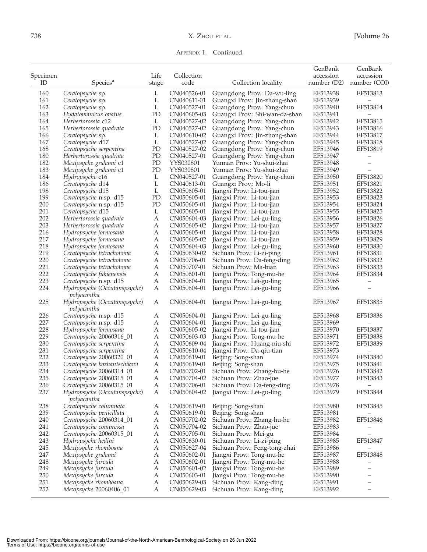APPENDIX 1. Continued.

|          |                                             |            |             |                                | GenBank       | GenBank                  |
|----------|---------------------------------------------|------------|-------------|--------------------------------|---------------|--------------------------|
| Specimen |                                             | Life       | Collection  |                                | accession     | accession                |
| ID       | Species <sup>a</sup>                        | stage      | code        | Collection locality            | number $(D2)$ | number (COI)             |
| 160      | Ceratopsyche sp.                            | L          | CN040526-01 | Guangdong Prov.: Da-wu-ling    | EF513938      | EF513813                 |
| 161      | Ceratopsyche sp.                            | L          | CN040611-01 | Guangxi Prov.: Jin-zhong-shan  | EF513939      |                          |
| 162      | Ceratopsyche sp.                            | L          | CN040527-01 | Guangdong Prov.: Yang-chun     | EF513940      | EF513814                 |
| 163      | Hydatomanicus ovatus                        | PD         | CN040605-03 | Guangxi Prov.: Shi-wan-da-shan | EF513941      | $\overline{\phantom{0}}$ |
| 164      | Herbertorossia c12                          | L          | CN040527-02 | Guangdong Prov.: Yang-chun     | EF513942      | EF513815                 |
| 165      | Herbertorossia quadrata                     | PD         | CN040527-02 | Guangdong Prov.: Yang-chun     | EF513943      | EF513816                 |
| 166      | Ceratopsyche sp.                            | L          | CN040610-02 | Guangxi Prov.: Jin-zhong-shan  | EF513944      | EF513817                 |
| 167      | Ceratopsyche d17                            | L          | CN040527-02 | Guangdong Prov.: Yang-chun     | EF513945      | EF513818                 |
| 168      | Ceratopsyche serpentina                     | PD         | CN040527-02 | Guangdong Prov.: Yang-chun     | EF513946      | EF513819                 |
| 180      | Herbertorossia quadrata                     | PD         | CN040527-01 | Guangdong Prov.: Yang-chun     | EF513947      | -                        |
| 182      |                                             | ${\rm PD}$ | YYS030801   | Yunnan Prov.: Yu-shui-zhai     | EF513948      | $\overline{\phantom{0}}$ |
| 183      | Mexipsyche grahami c1                       | ${\rm PD}$ | YYS030801   | Yunnan Prov.: Yu-shui-zhai     | EF513949      | $\overline{\phantom{0}}$ |
| 184      | Mexipsyche grahami c1                       | L          |             |                                |               |                          |
|          | Hydropsyche c16                             |            | CN040527-01 | Guangdong Prov.: Yang-chun     | EF513950      | EF513820                 |
| 186      | Ceratopsyche d14                            | L          | CN040613-01 | Guangxi Prov.: Mo-li           | EF513951      | EF513821                 |
| 198      | Ceratopsyche d15                            | L          | CN050605-01 | Jiangxi Prov.: Li-tou-jian     | EF513952      | EF513822                 |
| 199      | Ceratopsyche n.sp. d15                      | PD         | CN050605-01 | Jiangxi Prov.: Li-tou-jian     | EF513953      | EF513823                 |
| 200      | Ceratopsyche n.sp. d15                      | PD         | CN050605-01 | Jiangxi Prov.: Li-tou-jian     | EF513954      | EF513824                 |
| 201      | Ceratopsyche d15                            | L          | CN050605-01 | Jiangxi Prov.: Li-tou-jian     | EF513955      | EF513825                 |
| 202      | Herbertorossia quadrata                     | А          | CN050604-03 | Jiangxi Prov.: Lei-gu-ling     | EF513956      | EF513826                 |
| 203      | Herbertorossia quadrata                     | А          | CN050605-02 | Jiangxi Prov.: Li-tou-jian     | EF513957      | EF513827                 |
| 216      | Hydropsyche formosana                       | А          | CN050605-01 | Jiangxi Prov.: Li-tou-jian     | EF513958      | EF513828                 |
| 217      | Hydropsyche formosana                       | А          | CN050605-02 | Jiangxi Prov.: Li-tou-jian     | EF513959      | EF513829                 |
| 218      | Hydropsyche formosana                       | А          | CN050604-03 | Jiangxi Prov.: Lei-gu-ling     | EF513960      | EF513830                 |
| 219      | Ceratopsyche tetrachotoma                   | А          | CN050630-02 | Sichuan Prov.: Li-zi-ping      | EF513961      | EF513831                 |
| 220      | Ceratopsyche tetrachotoma                   | А          | CN050706-01 | Sichuan Prov.: Da-feng-ding    | EF513962      | EF513832                 |
| 221      | Ceratopsyche tetrachotoma                   | А          | CN050707-01 | Sichuan Prov.: Ma-bian         | EF513963      | EF513833                 |
| 222      | Ceratopsyche fukienensis                    | А          | CN050601-01 | Jiangxi Prov.: Tong-mu-he      | EF513964      | EF513834                 |
| 223      | Ceratopsyche n.sp. d15                      | А          | CN050604-01 | Jiangxi Prov.: Lei-gu-ling     | EF513965      | -                        |
| 224      | Hydropsyche (Occutanspsyche)<br>polyacantha | А          | CN050604-01 | Jiangxi Prov.: Lei-gu-ling     | EF513966      |                          |
| 225      | Hydropsyche (Occutanspsyche)<br>polyacantha | А          | CN050604-01 | Jiangxi Prov.: Lei-gu-ling     | EF513967      | EF513835                 |
| 226      | Ceratopsyche n.sp. d15                      | А          | CN050604-01 | Jiangxi Prov.: Lei-gu-ling     | EF513968      | EF513836                 |
| 227      | Ceratopsyche n.sp. d15                      | А          | CN050604-01 | Jiangxi Prov.: Lei-gu-ling     | EF513969      |                          |
| 228      | Hydropsyche formosana                       | А          | CN050605-02 | Jiangxi Prov.: Li-tou-jian     | EF513970      | EF513837                 |
| 229      | Ceratopsyche 20060316_01                    | А          | CN050603-03 | Jiangxi Prov.: Tong-mu-he      | EF513971      | EF513838                 |
| 230      | Ceratopsyche serpentina                     | А          | CN050609-04 | Jiangxi Prov.: Huang-niu-shi   | EF513972      | EF513839                 |
| 231      | Ceratopsyche serpentina                     | А          | CN050610-04 | Jiangxi Prov.: Da-qiu-tian     | EF513973      |                          |
| 232      | Ceratopsyche 20060320_01                    | А          | CN050619-01 | Beijing: Song-shan             | EF513974      | EF513840                 |
| 233      | Ceratopsyche kozhantschikovi                | А          | CN050619-01 | Beijing: Song-shan             | EF513975      | EF513841                 |
| 234      | Ceratopsyche 20060314_01                    | А          | CN050702-01 | Sichuan Prov.: Zhang-hu-he     | EF513976      | EF513842                 |
| 235      | Ceratopsyche 20060315_01                    | А          | CN050704-02 | Sichuan Prov.: Zhao-jue        | EF513977      | EF513843                 |
| 236      | Ceratopsyche 20060315_01                    | А          | CN050706-01 | Sichuan Prov.: Da-feng-ding    | EF513978      | -                        |
| 237      | Hydropsyche (Occutanspsyche)<br>polyacantha | А          | CN050604-02 | Jiangxi Prov.: Lei-gu-ling     | EF513979      | EF513844                 |
| 238      | Ceratopsyche columnata                      | А          | CN050619-01 | Beijing: Song-shan             | EF513980      | EF513845                 |
| 239      | Ceratopsyche penicillata                    | А          | CN050619-01 | Beijing: Song-shan             | EF513981      | $\overline{\phantom{0}}$ |
| 240      | Ceratopsyche 20060314_01                    | А          | CN050702-02 | Sichuan Prov.: Zhang-hu-he     | EF513982      | EF513846                 |
| 241      | Ceratopsyche compressa                      | А          | CN050704-02 | Sichuan Prov.: Zhao-jue        | EF513983      |                          |
| 242      | Ceratopsyche 20060315_01                    | А          | CN050705-01 | Sichuan Prov.: Mei-gu          | EF513984      |                          |
| 243      | Hydropsyche hedini                          | А          | CN050630-01 | Sichuan Prov.: Li-zi-ping      | EF513985      | EF513847                 |
| 245      | Mexipsyche rhomboana                        | А          | CN050627-04 | Sichuan Prov.: Feng-tong-zhai  | EF513986      |                          |
| 247      | Mexipsyche grahami                          | А          | CN050602-01 | Jiangxi Prov.: Tong-mu-he      | EF513987      | EF513848                 |
| 248      | Mexipsyche furcula                          | А          | CN050602-01 | Jiangxi Prov.: Tong-mu-he      | EF513988      |                          |
| 249      | Mexipsyche furcula                          | А          | CN050601-02 | Jiangxi Prov.: Tong-mu-he      | EF513989      |                          |
| 250      | Mexipsyche furcula                          | А          | CN050603-01 | Jiangxi Prov.: Tong-mu-he      | EF513990      |                          |
| 251      | Mexipsyche rhomboana                        | А          | CN050629-03 | Sichuan Prov.: Kang-ding       | EF513991      |                          |
| 252      | Mexipsyche 20060406_01                      | А          | CN050629-03 | Sichuan Prov.: Kang-ding       | EF513992      | -                        |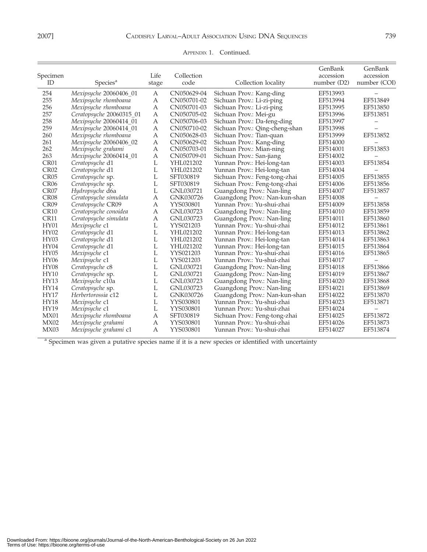| Appendix 1. | Continued. |
|-------------|------------|
|             |            |

| Specimen<br>ID   | Species <sup>a</sup>          | Life<br>stage | Collection<br>code | Collection locality            | GenBank<br>accession<br>number $(D2)$ | GenBank<br>accession<br>number (COI) |
|------------------|-------------------------------|---------------|--------------------|--------------------------------|---------------------------------------|--------------------------------------|
| 254              | Mexipsyche 20060406_01        | A             | CN050629-04        | Sichuan Prov.: Kang-ding       | EF513993                              | $\overline{\phantom{0}}$             |
| 255              | Mexipsyche rhomboana          | A             | CN050701-02        | Sichuan Prov.: Li-zi-ping      | EF513994                              | EF513849                             |
| 256              | Mexipsyche rhomboana          | А             | CN050701-03        | Sichuan Prov.: Li-zi-ping      | EF513995                              | EF513850                             |
| 257              | Ceratopsyche 20060315_01      | A             | CN050705-02        | Sichuan Prov.: Mei-gu          | EF513996                              | EF513851                             |
| 258              | Mexipsyche 20060414_01        | А             | CN050706-03        | Sichuan Prov.: Da-feng-ding    | EF513997                              | L.                                   |
| 259              | Mexipsyche 20060414_01        | А             | CN050710-02        | Sichuan Prov.: Qing-cheng-shan | EF513998                              |                                      |
| 260              | Mexipsyche rhomboana          | А             | CN050628-03        | Sichuan Prov.: Tian-quan       | EF513999                              | EF513852                             |
| 261              | Mexipsyche 20060406_02        | A             | CN050629-02        | Sichuan Prov.: Kang-ding       | EF514000                              |                                      |
| 262              | Mexipsyche grahami            | А             | CN050703-01        | Sichuan Prov.: Mian-ning       | EF514001                              | EF513853                             |
| 263              | <i>Mexipsyche</i> 20060414_01 | А             | CN050709-01        | Sichuan Prov.: San-jiang       | EF514002                              |                                      |
| CR01             | Ceratopsyche d1               | L             | YHL021202          | Yunnan Prov.: Hei-long-tan     | EF514003                              | EF513854                             |
| <b>CR02</b>      | Ceratopsyche d1               | L             | YHL021202          | Yunnan Prov.: Hei-long-tan     | EF514004                              |                                      |
| CR05             | Ceratopsyche sp.              | L             | SFT030819          | Sichuan Prov.: Feng-tong-zhai  | EF514005                              | EF513855                             |
| CR <sub>06</sub> | Ceratopsyche sp.              | L             | SFT030819          | Sichuan Prov.: Feng-tong-zhai  | EF514006                              | EF513856                             |
| CR07             | Hydropsyche d6a               | L             | GNL030721          | Guangdong Prov.: Nan-ling      | EF514007                              | EF513857                             |
| CR <sub>08</sub> | Ceratopsyche simulata         | А             | GNK030726          | Guangdong Prov.: Nan-kun-shan  | EF514008                              |                                      |
| CR09             | Ceratopsyche CR09             | А             | YYS030801          | Yunnan Prov.: Yu-shui-zhai     | EF514009                              | EF513858                             |
| <b>CR10</b>      | Ceratopsyche conoidea         | A             | GNL030723          | Guangdong Prov.: Nan-ling      | EF514010                              | EF513859                             |
| CR11             | Ceratopsyche simulata         | А             | GNL030723          | Guangdong Prov.: Nan-ling      | EF514011                              | EF513860                             |
| HY01             | Mexipsyche c1                 | L             | YYS021203          | Yunnan Prov.: Yu-shui-zhai     | EF514012                              | EF513861                             |
| HY02             | Ceratopsyche d1               | L             | YHL021202          | Yunnan Prov.: Hei-long-tan     | EF514013                              | EF513862                             |
| HY03             | Ceratopsyche d1               | L             | YHL021202          | Yunnan Prov.: Hei-long-tan     | EF514014                              | EF513863                             |
| HY04             | Ceratopsyche d1               | L             | YHL021202          | Yunnan Prov.: Hei-long-tan     | EF514015                              | EF513864                             |
| HY05             | Mexipsyche c1                 | L             | YYS021203          | Yunnan Prov.: Yu-shui-zhai     | EF514016                              | EF513865                             |
| <b>HY06</b>      | Mexipsyche c1                 | L             | YYS021203          | Yunnan Prov.: Yu-shui-zhai     | EF514017                              |                                      |
| HY08             | Ceratopsyche c8               | L             | GNL030721          | Guangdong Prov.: Nan-ling      | EF514018                              | EF513866                             |
| HY10             | Ceratopsyche sp.              | L             | GNL030721          | Guangdong Prov.: Nan-ling      | EF514019                              | EF513867                             |
| <b>HY13</b>      | Mexipsyche c10a               | L             | GNL030723          | Guangdong Prov.: Nan-ling      | EF514020                              | EF513868                             |
| <b>HY14</b>      | Ceratopsyche sp.              | L             | GNL030723          | Guangdong Prov.: Nan-ling      | EF514021                              | EF513869                             |
| <b>HY17</b>      | Herbertorossia c12            | L             | GNK030726          | Guangdong Prov.: Nan-kun-shan  | EF514022                              | EF513870                             |
| <b>HY18</b>      | Mexipsyche c1                 | L             | YYS030801          | Yunnan Prov.: Yu-shui-zhai     | EF514023                              | EF513871                             |
| <b>HY19</b>      | Mexipsyche c1                 | L             | YYS030801          | Yunnan Prov.: Yu-shui-zhai     | EF514024                              | $\overline{\phantom{0}}$             |
| MX01             | Mexipsyche rhomboana          | А             | SFT030819          | Sichuan Prov.: Feng-tong-zhai  | EF514025                              | EF513872                             |
| MX02             | Mexipsyche grahami            | A             | YYS030801          | Yunnan Prov.: Yu-shui-zhai     | EF514026                              | EF513873                             |
| MX03             | Mexipsyche grahami c1         | A             | YYS030801          | Yunnan Prov.: Yu-shui-zhai     | EF514027                              | EF513874                             |

<sup>a</sup> Specimen was given a putative species name if it is a new species or identified with uncertainty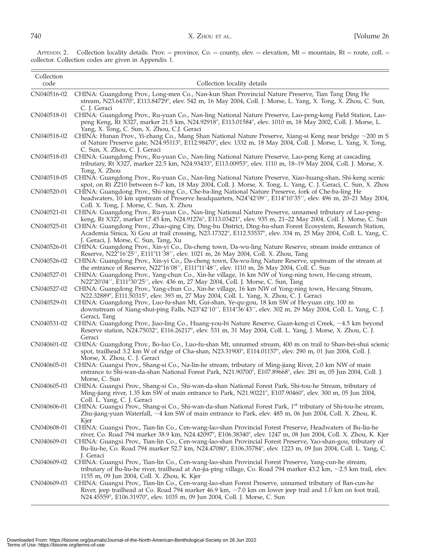APPENDIX 2. Collection locality details. Prov. = province, Co. = county, elev. = elevation, Mt = mountain, Rt = route, coll. = collector. Collection codes are given in Appendix 1.

| Collection<br>code | Collection locality details                                                                                                                                                                                                                                                                         |
|--------------------|-----------------------------------------------------------------------------------------------------------------------------------------------------------------------------------------------------------------------------------------------------------------------------------------------------|
| CN040516-02        | CHINA: Guangdong Prov., Long-men Co., Nan-kun Shan Provincial Nature Preserve, Tian Tang Ding He<br>stream, N23.64370°, E113.84729°, elev. 542 m, 16 May 2004, Coll. J. Morse, L. Yang, X. Tong, X. Zhou, C. Sun,<br>C. J. Geraci                                                                   |
| CN040518-01        | CHINA: Guangdong Prov., Ru-yuan Co., Nan-ling National Nature Preserve, Lao-peng-keng Field Station, Lao-<br>peng Keng, Rt X327, marker 21.5 km, N24.92918°, E113.01584°, elev. 1010 m, 18 May 2002, Coll. J. Morse, L.<br>Yang, X. Tong, C. Sun, X. Zhou, C.J. Geraci                              |
| CN040518-02        | CHINA: Hunan Prov., Yi-zhang Co., Mang Shan National Nature Preserve, Xiang-si Keng near bridge ~200 m S<br>of Nature Preserve gate, N24.95113°, E112.98470°, elev. 1332 m, 18 May 2004, Coll. J. Morse, L. Yang, X. Tong,<br>C. Sun, X. Zhou, C. J. Geraci                                         |
| CN040518-03        | CHINA: Guangdong Prov., Ru-yuan Co., Nan-ling National Nature Preserve, Lao-peng Keng at cascading<br>tributary, Rt X327, marker 22.5 km, N24.93433°, E113.00953°, elev. 1110 m, 18-19 May 2004, Coll. J. Morse, X.<br>Tong, X. Zhou                                                                |
| CN040518-05        | CHINA: Guangdong Prov., Ru-yuan Co., Nan-ling National Nature Preserve, Xiao-huang-shan, Shi-keng scenic<br>spot, on Rt Z210 between 6–7 km, 18 May 2004, Coll. J. Morse, X. Tong, L. Yang, C. J. Geraci, C. Sun, X. Zhou                                                                           |
| CN040520-01        | CHINA: Guangdong Prov., Shi-xing Co., Che-ba-ling National Nature Preserve, fork of Che-ba-ling He<br>headwaters, 10 km upstream of Preserve headquarters, N24°42′09″, E114°10′35″, elev. 496 m, 20–21 May 2004,<br>Coll. X. Tong, J. Morse, C. Sun, X. Zhou                                        |
| CN040521-01        | CHINA: Guangdong Prov., Ru-yuan Co., Nan-ling National Nature Preserve, unnamed tributary of Lao-peng-<br>keng, Rt X327, marker 17.45 km, N24.91276°, E113.03421°, elev. 935 m, 21–22 May 2004, Coll. J. Morse, C. Sun                                                                              |
| CN040525-01        | CHINA: Guangdong Prov., Zhao-qing City, Ding-hu District, Ding-hu-shan Forest Ecosystem, Research Station,<br>Academia Sinica, Xi Gou at trail crossing, N23.17322°, E112.53537°, elev. 334 m, 25 May 2004, Coll. L. Yang, C.<br>J. Geraci, J. Morse, C. Sun, Tang, Xu                              |
| CN040526-01        | CHINA: Guangdong Prov., Xin-yi Co., Da-cheng town, Da-wu-ling Nature Reserve, stream inside entrance of<br>Reserve, N22°16'25", E111°11'38", elev. 1021 m, 26 May 2004, Coll. X. Zhou, Tang                                                                                                         |
| CN040526-02        | CHINA: Guangdong Prov., Xin-yi Co., Da-cheng town, Da-wu-ling Nature Reserve, upstream of the stream at<br>the entrance of Reserve, N22°16′08′′, E111°11′48′′, elev. 1110 m, 26 May 2004, Coll. C. Sun                                                                                              |
| CN040527-01        | CHINA: Guangdong Prov., Yang-chun Co., Xin-he village, 16 km NW of Yong-ning town, He-cang stream,<br>N22°20'04", E111°30'25", elev. 436 m, 27 May 2004, Coll. J. Morse, C. Sun, Tang                                                                                                               |
| CN040527-02        | CHINA: Guangdong Prov., Yang-chun Co., Xin-he village, 16 km NW of Yong-ning town, He-cang Stream,<br>N22.32889°, E111.50315°, elev. 393 m, 27 May 2004, Coll. L. Yang, X. Zhou, C. J. Geraci                                                                                                       |
| CN040529-01        | CHINA: Guangdong Prov., Luo-fu-shan Mt, Gui-shan, Ye-qu-gou, 18 km SW of He-yuan city, 100 m<br>downstream of Xiang-shui-ping Falls, N23°42'10", E114°36'43", elev. 302 m, 29 May 2004, Coll. L. Yang, C. J.<br>Geraci, Tang                                                                        |
| CN040531-02        | CHINA: Guangdong Prov., Jiao-ling Co., Huang-you-bi Nature Reserve, Guan-keng-zi Creek, ~4.5 km beyond<br>Reserve station, N24.75032°, E116.26217°, elev. 531 m, 31 May 2004, Coll. L. Yang, J. Morse, X. Zhou, C. J.<br>Geraci                                                                     |
| CN040601-02        | CHINA: Guangdong Prov., Bo-luo Co., Luo-fu-shan Mt, unnamed stream, 400 m on trail to Shan-bei-shui scienic<br>spot, trailhead 3.2 km W of ridge of Cha-shan, N23.31900°, E114.01157°, elev. 290 m, 01 Jun 2004, Coll. J.<br>Morse, X. Zhou, C. J. Geraci                                           |
| CN040605-01        | CHINA: Guangxi Prov., Shang-si Co., Na-lin-he stream, tributary of Ming-jiang River, 2.0 km NW of main<br>entrance to Shi-wan-da-shan National Forest Park, N21.90700 <sup>6</sup> , E107.89668°, elev. 281 m, 05 Jun 2004, Coll. J.<br>Morse, C. Sun                                               |
| CN040605-03        | CHINA: Guangxi Prov., Shang-si Co., Shi-wan-da-shan National Forest Park, Shi-tou-he Stream, tributary of<br>Ming-jiang river, 1.35 km SW of main entrance to Park, N21.90221°, E107.90460°, elev. 300 m, 05 Jun 2004,<br>Coll. L. Yang, C. J. Geraci                                               |
| CN040606-01        | CHINA: Guangxi Prov., Shang-si Co., Shi-wan-da-shan National Forest Park, 1 <sup>st</sup> tributary of Shi-tou-he stream,<br>Zhu-jiang-yuan Waterfall, ~4 km SW of main entrance to Park, elev. 485 m, 06 Jun 2004, Coll. X. Zhou, K.<br>Kjer                                                       |
| CN040608-01        | CHINA: Guangxi Prov., Tian-lin Co., Cen-wang-lao-shan Provincial Forest Preserve, Headwaters of Bu-liu-he<br>river, Co. Road 794 marker 38.9 km, N24.42097°, E106.38340°, elev. 1247 m, 08 Jun 2004, Coll. X. Zhou, K. Kjer                                                                         |
| CN040609-01        | CHINA: Guangxi Prov., Tian-lin Co., Cen-wang-lao-shan Provincial Forest Preserve, Yao-shan-gou, tributary of<br>Bu-liu-he, Co. Road 794 marker 52.7 km, N24.47080°, E106.35784°, elev. 1223 m, 09 Jun 2004, Coll. L. Yang, C.<br>J. Geraci                                                          |
| CN040609-02        | CHINA: Guangxi Prov., Tian-lin Co., Cen-wang-lao-shan Provincial Forest Preserve, Yang-cun-he stream,<br>tributary of Bu-liu-he river, trailhead at An-jia-ping village, Co. Road 794 marker 43.2 km, $\sim$ 2.5 km trail, elev.<br>1155 m, 09 Jun 2004, Coll. X. Zhou, K. Kjer                     |
| CN040609-03        | CHINA: Guangxi Prov., Tian-lin Co., Cen-wang-lao-shan Forest Preserve, unnamed tributary of Ban-cun-he<br>River, jeep trailhead at Co. Road 794 marker 46.9 km, ~7.0 km on lower jeep trail and 1.0 km on foot trail,<br>N24.45559°, E106.31970°, elev. 1035 m, 09 Jun 2004, Coll. J. Morse, C. Sun |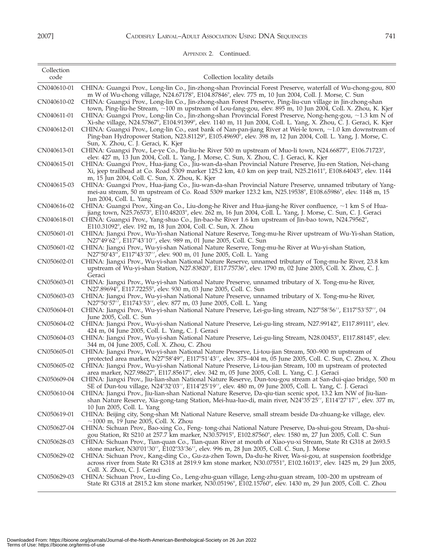#### APPENDIX 2. Continued.

| Collection<br>code | Collection locality details                                                                                                                                                                                                                                                     |
|--------------------|---------------------------------------------------------------------------------------------------------------------------------------------------------------------------------------------------------------------------------------------------------------------------------|
| CN040610-01        | CHINA: Guangxi Prov., Long-lin Co., Jin-zhong-shan Provincial Forest Preserve, waterfall of Wu-chong-gou, 800<br>m W of Wu-chong village, N24.67178°, E104.87846°, elev. 775 m, 10 Jun 2004, Coll. J. Morse, C. Sun                                                             |
| CN040610-02        | CHINA: Guangxi Prov., Long-lin Co., Jin-zhong-shan Forest Preserve, Ping-liu-cun village in Jin-zhong-shan<br>town, Ping-liu-he Stream, ~100 m upstream of Lou-fang-gou, elev. 895 m, 10 Jun 2004, Coll. X. Zhou, K. Kjer                                                       |
| CN040611-01        | CHINA: Guangxi Prov., Long-lin Co., Jin-zhong-shan Provincial Forest Preserve, Nong-heng-gou, ~1.3 km N of<br>Xi-she village, N24.57867°, E104.91399°, elev. 1140 m, 11 Jun 2004, Coll. L. Yang, X. Zhou, C. J. Geraci, K. Kjer                                                 |
| CN040612-01        | CHINA: Guangxi Prov., Long-lin Co., east bank of Nan-pan-jiang River at Wei-le town, ~1.0 km downstream of<br>Ping-ban Hydropower Station, N23.81129°, E105.49690°, elev. 398 m, 12 Jun 2004, Coll. L. Yang, J. Morse, C.<br>Sun, X. Zhou, C. J. Geraci, K. Kjer                |
| CN040613-01        | CHINA: Guangxi Prov., Le-ye Co., Bu-liu-he River 500 m upstream of Muo-li town, N24.66877°, E106.71723°,<br>elev. 427 m, 13 Jun 2004, Coll. L. Yang, J. Morse, C. Sun, X. Zhou, C. J. Geraci, K. Kjer                                                                           |
| CN040615-01        | CHINA: Guangxi Prov., Hua-jiang Co., Jiu-wan-da-shan Provincial Nature Preserve, Jiu-ren Station, Nei-chang<br>Xi, jeep trailhead at Co. Road 5309 marker 125.2 km, 4.0 km on jeep trail, N25.21611°, E108.64043°, elev. 1144<br>m, 15 Jun 2004, Coll. C. Sun, X. Zhou, K. Kjer |
| CN040615-03        | CHINA: Guangxi Prov., Hua-jiang Co., Jiu-wan-da-shan Provincial Nature Preserve, unnamed tributary of Yang-<br>mei-au stream, 50 m upstream of Co. Road 5309 marker 123.2 km, N25.19538°, E108.65986°, elev. 1148 m, 15<br>Jun 2004, Coll. L. Yang                              |
| CN040616-02        | CHINA: Guangxi Prov., Xing-an Co., Liu-dong-he River and Hua-jiang-he River confluence, ~1 km S of Hua-<br>jiang town, N25.76573°, E110.48203°, elev. 262 m, 16 Jun 2004, Coll. L. Yang, J. Morse, C. Sun, C. J. Geraci                                                         |
| CN040618-01        | CHINA: Guangxi Prov., Yang-shuo Co., Jin-bao-he River 1.6 km upstream of Jin-bao town, N24.79562°,<br>E110.31092°, elev. 192 m, 18 Jun 2004, Coll. C. Sun, X. Zhou                                                                                                              |
| CN050601-01        | CHINA: Jiangxi Prov., Wu-Yi-shan National Nature Reserve, Tong-mu-he River upstream of Wu-Yi-shan Station,<br>N27°49'62", E117°43'10", elev. 989 m, 01 June 2005, Coll. C. Sun                                                                                                  |
| CN050601-02        | CHINA: Jiangxi Prov., Wu-yi-shan National Nature Reserve, Tong-mu-he River at Wu-yi-shan Station,<br>N27°50'43", E117°43'37", elev. 900 m, 01 June 2005, Coll. L. Yang                                                                                                          |
| CN050602-01        | CHINA: Jiangxi Prov., Wu-yi-shan National Nature Reserve, unnamed tributary of Tong-mu-he River, 23.8 km<br>upstream of Wu-yi-shan Station, N27.83820°, E117.75736°, elev. 1790 m, 02 June 2005, Coll. X. Zhou, C. J.<br>Geraci                                                 |
| CN050603-01        | CHINA: Jiangxi Prov., Wu-yi-shan National Nature Preserve, unnamed tributary of X. Tong-mu-he River,<br>N27.89694°, E117.72255°, elev. 930 m, 03 June 2005, Coll. C. Sun                                                                                                        |
| CN050603-03        | CHINA: Jiangxi Prov., Wu-yi-shan National Nature Preserve, unnamed tributary of X. Tong-mu-he River,<br>N27°50'57", E11743'53", elev. 877 m, 03 June 2005, Coll. L. Yang                                                                                                        |
| CN050604-01        | CHINA: Jiangxi Prov., Wu-yi-shan National Nature Preserve, Lei-gu-ling stream, N27°58'56", E117°53'57", 04<br>June 2005, Coll. C. Sun                                                                                                                                           |
| CN050604-02        | CHINA: Jiangxi Prov., Wu-yi-shan National Nature Preserve, Lei-gu-ling stream, N27.99142°, E117.89111°, elev.<br>424 m, 04 June 2005, Coll. L. Yang, C. J. Geraci                                                                                                               |
| CN050604-03        | CHINA: Jiangxi Prov., Wu-yi-shan National Nature Preserve, Lei-gu-ling Stream, N28.00453°, E117.88145°, elev.<br>344 m, 04 June 2005, Coll. X. Zhou, C. Zhou                                                                                                                    |
| CN050605-01        | CHINA: Jiangxi Prov., Wu-yi-shan National Nature Preserve, Li-tou-jian Stream, 500–900 m upstream of<br>protected area marker, N27°58'49", E117°51'43", elev. 375–404 m, 05 June 2005, Coll. C. Sun, C. Zhou, X. Zhou                                                           |
| CN050605-02        | CHINA: Jiangxi Prov., Wu-yi-shan National Nature Preserve, Li-tou-jian Stream, 100 m upstream of protected<br>area marker, N27.98627°, E117.85617°, elev. 342 m, 05 June 2005, Coll. L. Yang, C. J. Geraci                                                                      |
|                    | CN050609-04 CHINA: Jiangxi Prov., Jiu-lian-shan National Nature Reserve, Dun-tou-gou stream at San-dui-qiao bridge, 500 m<br>SE of Dun-tou village, N24°32'03'', E114°25'19'', elev. 480 m, 09 June 2005, Coll. L. Yang, C. J. Geraci                                           |
| CN050610-04        | CHINA: Jiangxi Prov., Jiu-lian-shan National Nature Reserve, Da-qiu-tian scenic spot, 13.2 km NW of Jiu-lian-<br>shan Nature Reserve, Xia-gong-tang Station, Mei-hua-luo-di, main river, N24°35'25", E114°27'17", elev. 377 m,<br>10 Jun 2005, Coll. L. Yang                    |
| CN050619-01        | CHINA: Beijing city, Song-shan Mt National Nature Reserve, small stream beside Da-zhuang-ke village, elev.<br>$\sim$ 1000 m, 19 June 2005, Coll. X. Zhou                                                                                                                        |
| CN050627-04        | CHINA: Sichuan Prov., Bao-xing Co., Feng-tong-zhai National Nature Preserve, Da-shui-gou Stream, Da-shui-<br>gou Station, Rt S210 at 257.7 km marker, N30.57915°, E102.87560°, elev. 1580 m, 27 Jun 2005, Coll. C. Sun                                                          |
| CN050628-03        | CHINA: Sichuan Prov., Tian-quan Co., Tian-quan River at mouth of Xiao-yu-xi Stream, State Rt G318 at 2693.5<br>stone marker, N30°01'30'', E102°33'36'', elev. 996 m, 28 Jun 2005, Coll. C. Sun, J. Morse                                                                        |
| CN050629-02        | CHINA: Sichuan Prov., Kang-ding Co., Gu-za-zhen Town, Da-du-he River, Wa-si-gou, at suspension footbridge<br>across river from State Rt G318 at 2819.9 km stone marker, N30.07551°, E102.16013°, elev. 1425 m, 29 Jun 2005,<br>Coll. X. Zhou, C. J. Geraci                      |
| CN050629-03        | CHINA: Sichuan Prov., Lu-ding Co., Leng-zhu-guan village, Leng-zhu-guan stream, 100–200 m upstream of<br>State Rt G318 at 2815.2 km stone marker, N30.05196°, E102.15760°, elev. 1430 m, 29 Jun 2005, Coll. C. Zhou                                                             |